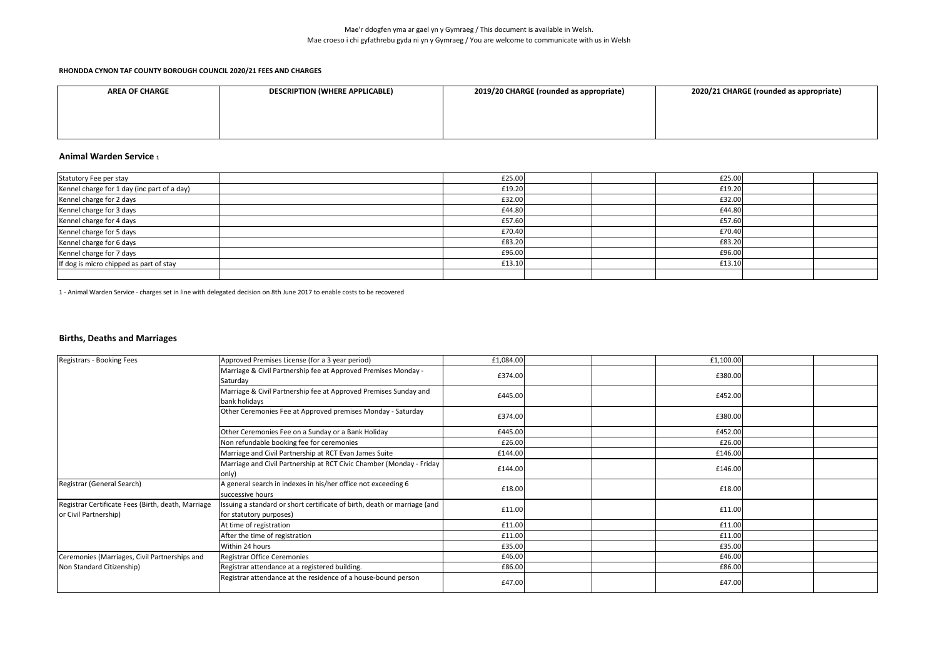| <b>AREA OF CHARGE</b> | <b>DESCRIPTION (WHERE APPLICABLE)</b> | 2019/20 CHARGE (rounded as appropriate) | 2020/21 CHARGE (rounded as appropriate) |
|-----------------------|---------------------------------------|-----------------------------------------|-----------------------------------------|
|                       |                                       |                                         |                                         |
|                       |                                       |                                         |                                         |
|                       |                                       |                                         |                                         |

### **Animal Warden Service <sup>1</sup>**

| Statutory Fee per stay                      | £25.00 |  | £25.00 |  |
|---------------------------------------------|--------|--|--------|--|
| Kennel charge for 1 day (inc part of a day) | £19.20 |  | £19.20 |  |
| Kennel charge for 2 days                    | £32.00 |  | £32.00 |  |
| Kennel charge for 3 days                    | £44.80 |  | £44.80 |  |
| Kennel charge for 4 days                    | £57.60 |  | £57.60 |  |
| Kennel charge for 5 days                    | £70.40 |  | £70.40 |  |
| Kennel charge for 6 days                    | £83.20 |  | £83.20 |  |
| Kennel charge for 7 days                    | £96.00 |  | £96.00 |  |
| If dog is micro chipped as part of stay     | £13.10 |  | £13.10 |  |
|                                             |        |  |        |  |

1 - Animal Warden Service - charges set in line with delegated decision on 8th June 2017 to enable costs to be recovered

#### **Births, Deaths and Marriages**

| Registrars - Booking Fees                                                   | Approved Premises License (for a 3 year period)                                                     | £1,084.00 |  | £1,100.00 |  |
|-----------------------------------------------------------------------------|-----------------------------------------------------------------------------------------------------|-----------|--|-----------|--|
|                                                                             | Marriage & Civil Partnership fee at Approved Premises Monday -<br>Saturday                          | £374.00   |  | £380.00   |  |
|                                                                             | Marriage & Civil Partnership fee at Approved Premises Sunday and<br>bank holidays                   | £445.00   |  | £452.00   |  |
|                                                                             | Other Ceremonies Fee at Approved premises Monday - Saturday                                         | £374.00   |  | £380.00   |  |
|                                                                             | Other Ceremonies Fee on a Sunday or a Bank Holiday                                                  | £445.00   |  | £452.00   |  |
|                                                                             | Non refundable booking fee for ceremonies                                                           | £26.00    |  | £26.00    |  |
|                                                                             | Marriage and Civil Partnership at RCT Evan James Suite                                              | £144.00   |  | £146.00   |  |
|                                                                             | Marriage and Civil Partnership at RCT Civic Chamber (Monday - Friday<br>only)                       | £144.00   |  | £146.00   |  |
| Registrar (General Search)                                                  | A general search in indexes in his/her office not exceeding 6<br>successive hours                   | £18.00    |  | £18.00    |  |
| Registrar Certificate Fees (Birth, death, Marriage<br>or Civil Partnership) | Issuing a standard or short certificate of birth, death or marriage (and<br>for statutory purposes) | £11.00    |  | £11.00    |  |
|                                                                             | At time of registration                                                                             | £11.00    |  | £11.00    |  |
|                                                                             | After the time of registration                                                                      | £11.00    |  | £11.00    |  |
|                                                                             | Within 24 hours                                                                                     | £35.00    |  | £35.00    |  |
| Ceremonies (Marriages, Civil Partnerships and                               | Registrar Office Ceremonies                                                                         | £46.00    |  | £46.00    |  |
| Non Standard Citizenship)                                                   | Registrar attendance at a registered building.                                                      | £86.00    |  | £86.00    |  |
|                                                                             | Registrar attendance at the residence of a house-bound person                                       | £47.00    |  | £47.00    |  |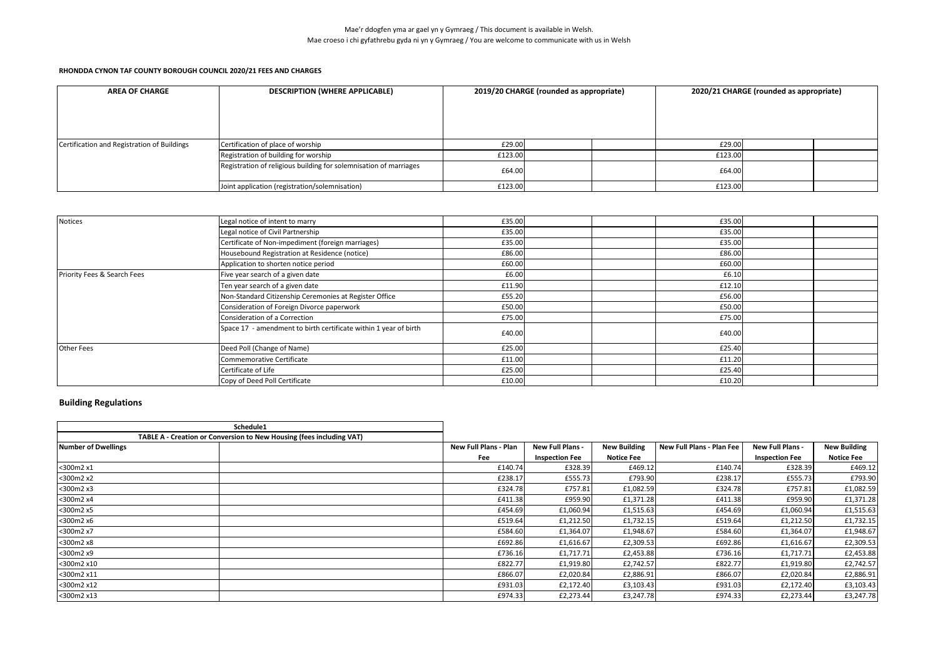### **RHONDDA CYNON TAF COUNTY BOROUGH COUNCIL 2020/21 FEES AND CHARGES**

| <b>AREA OF CHARGE</b>                       | <b>DESCRIPTION (WHERE APPLICABLE)</b>                             |         | 2019/20 CHARGE (rounded as appropriate) |         | 2020/21 CHARGE (rounded as appropriate) |  |  |
|---------------------------------------------|-------------------------------------------------------------------|---------|-----------------------------------------|---------|-----------------------------------------|--|--|
|                                             |                                                                   |         |                                         |         |                                         |  |  |
|                                             |                                                                   |         |                                         |         |                                         |  |  |
| Certification and Registration of Buildings | Certification of place of worship                                 | £29.00  |                                         | £29.00  |                                         |  |  |
|                                             | Registration of building for worship                              | £123.00 |                                         | £123.00 |                                         |  |  |
|                                             | Registration of religious building for solemnisation of marriages | £64.00  |                                         | £64.00  |                                         |  |  |
|                                             | Joint application (registration/solemnisation)                    | £123.00 |                                         | £123.00 |                                         |  |  |

| Notices                     | Legal notice of intent to marry                                  | £35.00 | £35.00 |  |
|-----------------------------|------------------------------------------------------------------|--------|--------|--|
|                             | Legal notice of Civil Partnership                                | £35.00 | £35.00 |  |
|                             | Certificate of Non-impediment (foreign marriages)                | £35.00 | £35.00 |  |
|                             | Housebound Registration at Residence (notice)                    | £86.00 | £86.00 |  |
|                             | Application to shorten notice period                             | £60.00 | £60.00 |  |
| Priority Fees & Search Fees | Five year search of a given date                                 | £6.00  | £6.10  |  |
|                             | Ten year search of a given date                                  | £11.90 | £12.10 |  |
|                             | Non-Standard Citizenship Ceremonies at Register Office           | £55.20 | £56.00 |  |
|                             | Consideration of Foreign Divorce paperwork                       | £50.00 | £50.00 |  |
|                             | Consideration of a Correction                                    | £75.00 | £75.00 |  |
|                             | Space 17 - amendment to birth certificate within 1 year of birth | £40.00 | £40.00 |  |
| <b>Other Fees</b>           | Deed Poll (Change of Name)                                       | £25.00 | £25.40 |  |
|                             | Commemorative Certificate                                        | £11.00 | £11.20 |  |
|                             | Certificate of Life                                              | £25.00 | £25.40 |  |
|                             | Copy of Deed Poll Certificate                                    | £10.00 | £10.20 |  |

## **Building Regulations**

|                     | Schedule1                                                            |                       |                       |                     |                           |                       |                     |
|---------------------|----------------------------------------------------------------------|-----------------------|-----------------------|---------------------|---------------------------|-----------------------|---------------------|
|                     | TABLE A - Creation or Conversion to New Housing (fees including VAT) |                       |                       |                     |                           |                       |                     |
| Number of Dwellings |                                                                      | New Full Plans - Plan | New Full Plans -      | <b>New Building</b> | New Full Plans - Plan Fee | New Full Plans -      | <b>New Building</b> |
|                     |                                                                      | Fee                   | <b>Inspection Fee</b> | <b>Notice Fee</b>   |                           | <b>Inspection Fee</b> | <b>Notice Fee</b>   |
| <300m2 x1           |                                                                      | £140.74               | £328.39               | £469.12             | £140.74                   | £328.39               | £469.12             |
| <300m2 x2           |                                                                      | £238.17               | £555.73               | £793.90             | £238.17                   | £555.73               | £793.90             |
| <300m2 x3           |                                                                      | £324.78               | £757.81               | £1,082.59           | £324.78                   | £757.81               | £1,082.59           |
| <300m2 x4           |                                                                      | £411.38               | £959.90               | £1,371.28           | £411.38                   | £959.90               | £1,371.28           |
| <300m2 x5           |                                                                      | £454.69               | £1,060.94             | £1,515.63           | £454.69                   | £1,060.94             | £1,515.63           |
| <300m2 x6           |                                                                      | £519.64               | £1,212.50             | £1,732.15           | £519.64                   | £1,212.50             | £1,732.15           |
| <300m2 x7           |                                                                      | £584.60               | £1,364.07             | £1,948.67           | £584.60                   | £1,364.07             | £1,948.67           |
| <300m2 x8           |                                                                      | £692.86               | £1,616.67             | £2,309.53           | £692.86                   | £1,616.67             | £2,309.53           |
| <300m2 x9           |                                                                      | £736.16               | £1,717.71             | £2,453.88           | £736.16                   | £1,717.71             | £2,453.88           |
| <300m2 x10          |                                                                      | £822.77               | £1,919.80             | £2,742.57           | £822.77                   | £1,919.80             | £2,742.57           |
| <300m2 x11          |                                                                      | £866.07               | £2,020.84             | £2,886.91           | £866.07                   | £2,020.84             | £2,886.91           |
| <300m2 x12          |                                                                      | £931.03               | £2,172.40             | £3,103.43           | £931.03                   | £2,172.40             | £3,103.43           |
| <300m2 x13          |                                                                      | £974.33               | £2,273.44             | £3,247.78           | £974.33                   | £2,273.44             | £3,247.78           |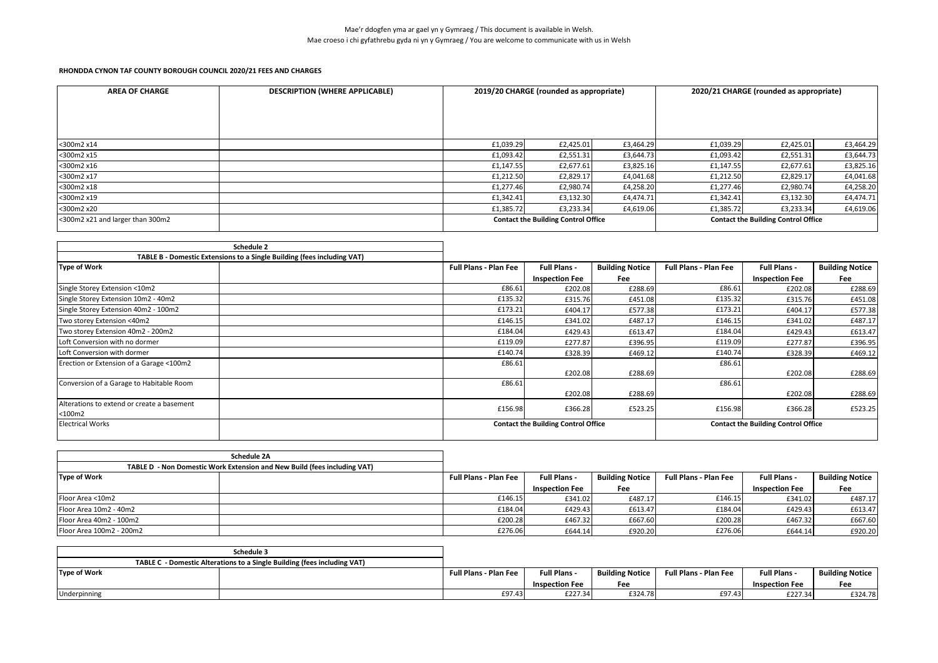| <b>AREA OF CHARGE</b>            | <b>DESCRIPTION (WHERE APPLICABLE)</b> |                                            | 2019/20 CHARGE (rounded as appropriate) |           | 2020/21 CHARGE (rounded as appropriate)    |           |           |  |
|----------------------------------|---------------------------------------|--------------------------------------------|-----------------------------------------|-----------|--------------------------------------------|-----------|-----------|--|
|                                  |                                       |                                            |                                         |           |                                            |           |           |  |
|                                  |                                       |                                            |                                         |           |                                            |           |           |  |
|                                  |                                       |                                            |                                         |           |                                            |           |           |  |
| <300m2 x14                       |                                       | £1,039.29                                  | £2,425.01                               | £3,464.29 | £1,039.29                                  | £2,425.01 | £3,464.29 |  |
| <300m2 x15                       |                                       | £1,093.42                                  | £2,551.31                               | £3,644.73 | £1,093.42                                  | £2,551.31 | £3,644.73 |  |
| <300m2 x16                       |                                       | £1,147.55                                  | £2,677.61                               | £3,825.16 | £1,147.55                                  | £2,677.61 | £3,825.16 |  |
| <300m2 x17                       |                                       | £1,212.50                                  | £2,829.17                               | £4,041.68 | £1,212.50                                  | £2,829.17 | £4,041.68 |  |
| <300m2 x18                       |                                       | £1,277.46                                  | £2,980.74                               | £4,258.20 | £1,277.46                                  | £2,980.74 | £4,258.20 |  |
| <300m2 x19                       |                                       | £1,342.41                                  | £3,132.30                               | £4,474.71 | £1,342.41                                  | £3,132.30 | £4,474.71 |  |
| <300m2 x20                       |                                       | £1,385.72                                  | £3,233.34                               | £4,619.06 | £1,385.72                                  | £3,233.34 | £4,619.06 |  |
| <300m2 x21 and larger than 300m2 |                                       | <b>Contact the Building Control Office</b> |                                         |           | <b>Contact the Building Control Office</b> |           |           |  |

| Schedule 2                                                              |                              |                                                                                          |                        |                              |                       |                        |
|-------------------------------------------------------------------------|------------------------------|------------------------------------------------------------------------------------------|------------------------|------------------------------|-----------------------|------------------------|
| TABLE B - Domestic Extensions to a Single Building (fees including VAT) |                              |                                                                                          |                        |                              |                       |                        |
| <b>Type of Work</b>                                                     | <b>Full Plans - Plan Fee</b> | <b>Full Plans -</b>                                                                      | <b>Building Notice</b> | <b>Full Plans - Plan Fee</b> | <b>Full Plans -</b>   | <b>Building Notice</b> |
|                                                                         |                              | <b>Inspection Fee</b>                                                                    | Fee                    |                              | <b>Inspection Fee</b> | <b>Fee</b>             |
| Single Storey Extension <10m2                                           | £86.61                       | £202.08                                                                                  | £288.69                | £86.61                       | £202.08               | £288.69                |
| Single Storey Extension 10m2 - 40m2                                     | £135.32                      | £315.76                                                                                  | £451.08                | £135.32                      | £315.76               | £451.08                |
| Single Storey Extension 40m2 - 100m2                                    | £173.21                      | £404.17                                                                                  | £577.38                | £173.21                      | £404.17               | £577.38                |
| Two storey Extension <40m2                                              | £146.15                      | £341.02                                                                                  | £487.17                | £146.15                      | £341.02               | £487.17                |
| Two storey Extension 40m2 - 200m2                                       | £184.04                      | £429.43                                                                                  | £613.47                | £184.04                      | £429.43               | £613.47                |
| Loft Conversion with no dormer                                          | £119.09                      | £277.87                                                                                  | £396.95                | £119.09                      | £277.87               | £396.95                |
| Loft Conversion with dormer                                             | £140.74                      | £328.39                                                                                  | £469.12                | £140.74                      | £328.39               | £469.12                |
| Erection or Extension of a Garage <100m2                                | £86.61                       |                                                                                          |                        | £86.61                       |                       |                        |
|                                                                         |                              | £202.08                                                                                  | £288.69                |                              | £202.08               | £288.69                |
| Conversion of a Garage to Habitable Room                                | £86.61                       |                                                                                          |                        | £86.61                       |                       |                        |
|                                                                         |                              | £202.08                                                                                  | £288.69                |                              | £202.08               | £288.69                |
| Alterations to extend or create a basement                              | £156.98                      | £366.28                                                                                  | £523.25                | £156.98                      | £366.28               | £523.25                |
| $<$ 100 $m$ 2                                                           |                              |                                                                                          |                        |                              |                       |                        |
| <b>Electrical Works</b>                                                 |                              | <b>Contact the Building Control Office</b><br><b>Contact the Building Control Office</b> |                        |                              |                       |                        |

|                          | Schedule 2A                                                              |                              |                       |                        |                              |                       |                        |
|--------------------------|--------------------------------------------------------------------------|------------------------------|-----------------------|------------------------|------------------------------|-----------------------|------------------------|
|                          | TABLE D - Non Domestic Work Extension and New Build (fees including VAT) |                              |                       |                        |                              |                       |                        |
| <b>Type of Work</b>      |                                                                          | <b>Full Plans - Plan Fee</b> | <b>Full Plans -</b>   | <b>Building Notice</b> | <b>Full Plans - Plan Fee</b> | <b>Full Plans -</b>   | <b>Building Notice</b> |
|                          |                                                                          |                              | <b>Inspection Fee</b> | Fee                    |                              | <b>Inspection Fee</b> | Fee                    |
| Floor Area <10m2         |                                                                          | £146.15                      | £341.02               | £487.17                | £146.15                      | £341.02               | £487.17                |
| Floor Area 10m2 - 40m2   |                                                                          | £184.04                      | £429.43               | £613.47                | £184.04                      | £429.43               | £613.47                |
| Floor Area 40m2 - 100m2  |                                                                          | £200.28                      | £467.32               | £667.60                | £200.28                      | £467.32               | £667.60                |
| Floor Area 100m2 - 200m2 |                                                                          | £276.06                      | £644.14               | £920.20                | £276.06                      | £644.14               | £920.20                |

|              | Schedule 3                                                               |                              |                       |                        |                              |                       |                        |
|--------------|--------------------------------------------------------------------------|------------------------------|-----------------------|------------------------|------------------------------|-----------------------|------------------------|
|              | TABLE C - Domestic Alterations to a Single Building (fees including VAT) |                              |                       |                        |                              |                       |                        |
| Type of Work |                                                                          | <b>Full Plans - Plan Fee</b> | <b>Full Plans -</b>   | <b>Building Notice</b> | <b>Full Plans - Plan Fee</b> | <b>Full Plans -</b>   | <b>Building Notice</b> |
|              |                                                                          |                              | <b>Inspection Fee</b> | Fee                    |                              | <b>Inspection Fee</b> | Fee                    |
| Underpinning |                                                                          | £97.43                       | £227.34               | £324.78                | £97.43                       | £227.34               | £324.78                |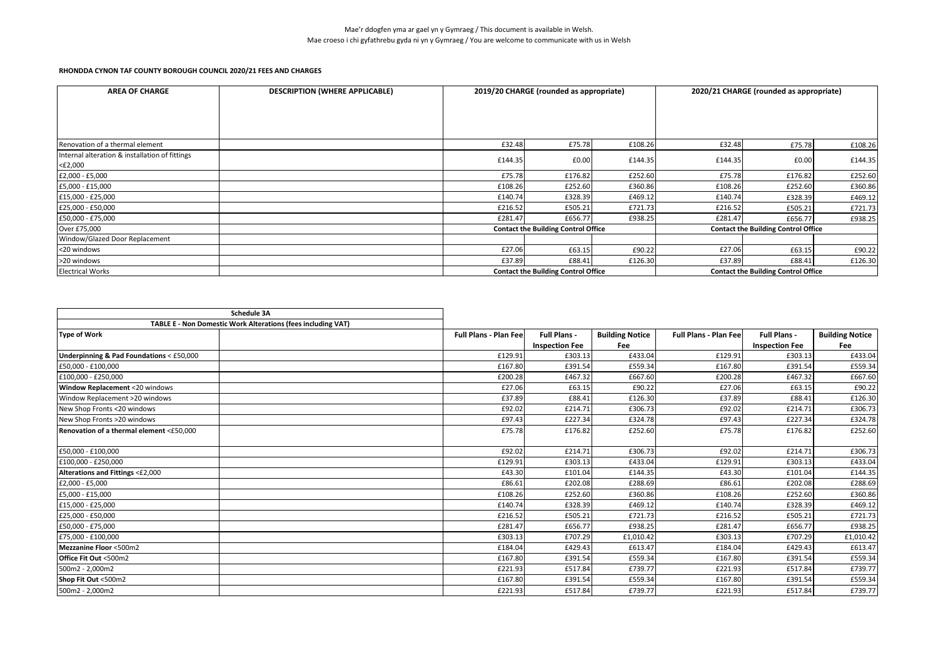| <b>AREA OF CHARGE</b>                          | <b>DESCRIPTION (WHERE APPLICABLE)</b> |         | 2019/20 CHARGE (rounded as appropriate)    |         | 2020/21 CHARGE (rounded as appropriate) |                                            |         |  |
|------------------------------------------------|---------------------------------------|---------|--------------------------------------------|---------|-----------------------------------------|--------------------------------------------|---------|--|
|                                                |                                       |         |                                            |         |                                         |                                            |         |  |
|                                                |                                       |         |                                            |         |                                         |                                            |         |  |
|                                                |                                       |         |                                            |         |                                         |                                            |         |  |
| Renovation of a thermal element                |                                       | £32.48  | £75.78                                     | £108.26 | £32.48                                  | £75.78                                     | £108.26 |  |
| Internal alteration & installation of fittings |                                       | £144.35 | £0.00                                      | £144.35 | £144.35                                 | £0.00                                      | £144.35 |  |
| <£2,000                                        |                                       |         |                                            |         |                                         |                                            |         |  |
| £2,000 - £5,000                                |                                       | £75.78  | £176.82                                    | £252.60 | £75.78                                  | £176.82                                    | £252.60 |  |
| £5,000 - £15,000                               |                                       | £108.26 | £252.60                                    | £360.86 | £108.26                                 | £252.60                                    | £360.86 |  |
| £15,000 - £25,000                              |                                       | £140.74 | £328.39                                    | £469.12 | £140.74                                 | £328.39                                    | £469.12 |  |
| £25,000 - £50,000                              |                                       | £216.52 | £505.21                                    | £721.73 | £216.52                                 | £505.21                                    | £721.73 |  |
| £50,000 - £75,000                              |                                       | £281.47 | £656.77                                    | £938.25 | £281.47                                 | £656.77                                    | £938.25 |  |
| Over £75,000                                   |                                       |         | <b>Contact the Building Control Office</b> |         |                                         | <b>Contact the Building Control Office</b> |         |  |
| Window/Glazed Door Replacement                 |                                       |         |                                            |         |                                         |                                            |         |  |
| <20 windows                                    |                                       | £27.06  | £63.15                                     | £90.22  | £27.06                                  | £63.15                                     | £90.22  |  |
| >20 windows                                    |                                       | £37.89  | £88.41                                     | £126.30 | £37.89                                  | £88.41                                     | £126.30 |  |
| <b>Electrical Works</b>                        |                                       |         | <b>Contact the Building Control Office</b> |         |                                         | <b>Contact the Building Control Office</b> |         |  |

| Schedule 3A                                                  |                               |                       |                        |                              |                       |                        |
|--------------------------------------------------------------|-------------------------------|-----------------------|------------------------|------------------------------|-----------------------|------------------------|
| TABLE E - Non Domestic Work Alterations (fees including VAT) |                               |                       |                        |                              |                       |                        |
| <b>Type of Work</b>                                          | <b>Full Plans - Plan Feel</b> | <b>Full Plans -</b>   | <b>Building Notice</b> | <b>Full Plans - Plan Fee</b> | Full Plans -          | <b>Building Notice</b> |
|                                                              |                               | <b>Inspection Fee</b> | Fee                    |                              | <b>Inspection Fee</b> | Fee                    |
| Underpinning & Pad Foundations < £50,000                     | £129.91                       | £303.13               | £433.04                | £129.91                      | £303.13               | £433.04                |
| £50,000 - £100,000                                           | £167.80                       | £391.54               | £559.34                | £167.80                      | £391.54               | £559.34                |
| £100,000 - £250,000                                          | £200.28                       | £467.32               | £667.60                | £200.28                      | £467.32               | £667.60                |
| Window Replacement <20 windows                               | £27.06                        | £63.15                | £90.22                 | £27.06                       | £63.15                | £90.22                 |
| Window Replacement >20 windows                               | £37.89                        | £88.41                | £126.30                | £37.89                       | £88.41                | £126.30                |
| New Shop Fronts <20 windows                                  | £92.02                        | £214.71               | £306.73                | £92.02                       | £214.71               | £306.73                |
| New Shop Fronts >20 windows                                  | £97.43                        | £227.34               | £324.78                | £97.43                       | £227.34               | £324.78                |
| Renovation of a thermal element <£50.000                     | £75.78                        | £176.82               | £252.60                | £75.78                       | £176.82               | £252.60                |
| £50,000 - £100,000                                           | £92.02                        | £214.71               | £306.73                | £92.02                       | £214.71               | £306.73                |
| £100,000 - £250,000                                          | £129.91                       | £303.13               | £433.04                | £129.91                      | £303.13               | £433.04                |
| Alterations and Fittings <£2,000                             | £43.30                        | £101.04               | £144.35                | £43.30                       | £101.04               | £144.35                |
| £2,000 - £5,000                                              | £86.61                        | £202.08               | £288.69                | £86.61                       | £202.08               | £288.69                |
| £5,000 - £15,000                                             | £108.26                       | £252.60               | £360.86                | £108.26                      | £252.60               | £360.86                |
| £15,000 - £25,000                                            | £140.74                       | £328.39               | £469.12                | £140.74                      | £328.39               | £469.12                |
| £25,000 - £50,000                                            | £216.52                       | £505.21               | £721.73                | £216.52                      | £505.21               | £721.73                |
| £50,000 - £75,000                                            | £281.47                       | £656.77               | £938.25                | £281.47                      | £656.77               | £938.25                |
| £75,000 - £100,000                                           | £303.13                       | £707.29               | £1,010.42              | £303.13                      | £707.29               | £1,010.42              |
| <b>Mezzanine Floor &lt;500m2</b>                             | £184.04                       | £429.43               | £613.47                | £184.04                      | £429.43               | £613.47                |
| Office Fit Out <500m2                                        | £167.80                       | £391.54               | £559.34                | £167.80                      | £391.54               | £559.34                |
| 500m2 - 2,000m2                                              | £221.93                       | £517.84               | £739.77                | £221.93                      | £517.84               | £739.77                |
| Shop Fit Out <500m2                                          | £167.80                       | £391.54               | £559.34                | £167.80                      | £391.54               | £559.34                |
| 500m2 - 2,000m2                                              | £221.93                       | £517.84               | £739.77                | £221.93                      | £517.84               | £739.77                |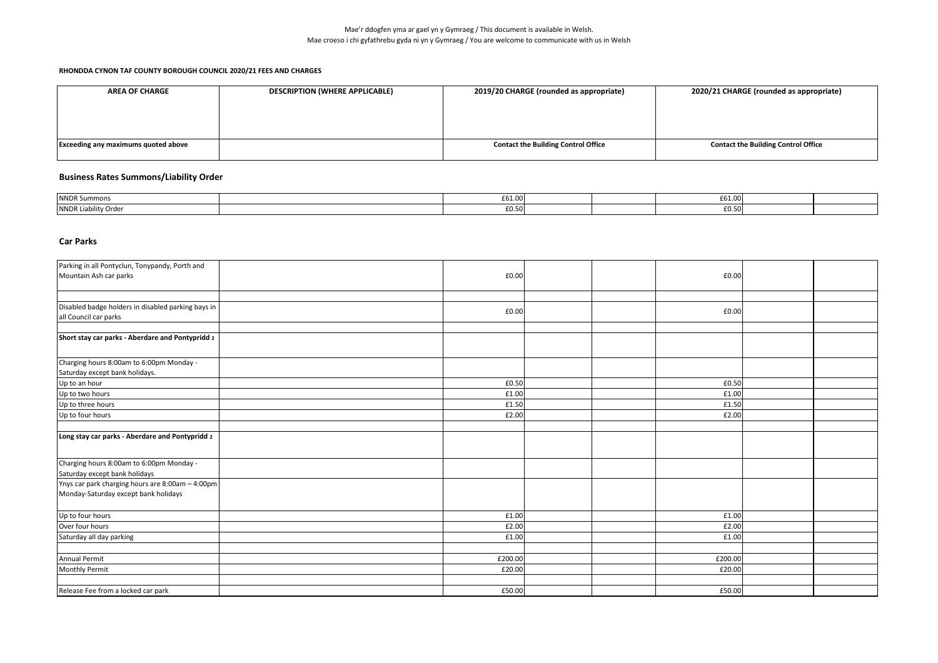| <b>AREA OF CHARGE</b>                      | <b>DESCRIPTION (WHERE APPLICABLE)</b> | 2019/20 CHARGE (rounded as appropriate)    | 2020/21 CHARGE (rounded as appropriate)    |
|--------------------------------------------|---------------------------------------|--------------------------------------------|--------------------------------------------|
|                                            |                                       |                                            |                                            |
|                                            |                                       |                                            |                                            |
|                                            |                                       |                                            |                                            |
| <b>Exceeding any maximums quoted above</b> |                                       | <b>Contact the Building Control Office</b> | <b>Contact the Building Control Office</b> |
|                                            |                                       |                                            |                                            |

# **Business Rates Summons/Liability Order**

| NNDR Summons         | £61.00                  |  | 0.0100<br>LD1.UU           |  |
|----------------------|-------------------------|--|----------------------------|--|
| NNDR Liability Order | $F \cap F \cap$<br>⊥∪.∟ |  | $F \cap F \cap$<br>- 70.30 |  |

### **Car Parks**

| Parking in all Pontyclun, Tonypandy, Porth and<br>£0.00<br>£0.00<br>Disabled badge holders in disabled parking bays in<br>£0.00<br>£0.00<br>all Council car parks<br>Short stay car parks - Aberdare and Pontypridd 2<br>Charging hours 8:00am to 6:00pm Monday -<br>Saturday except bank holidays.<br>£0.50<br>£0.50<br>Up to an hour<br>£1.00<br>£1.00<br>Up to three hours<br>£1.50<br>£1.50<br>Up to four hours<br>£2.00<br>£2.00<br>Charging hours 8:00am to 6:00pm Monday -<br>Saturday except bank holidays<br>Ynys car park charging hours are 8:00am - 4:00pm<br>Monday-Saturday except bank holidays<br>£1.00<br>£1.00<br>Over four hours<br>£2.00<br>£2.00<br>Saturday all day parking<br>£1.00<br>£1.00<br>£200.00<br><b>Annual Permit</b><br>£200.00<br><b>Monthly Permit</b><br>£20.00<br>£20.00<br>£50.00<br>£50.00 |                                                 |  |  |  |  |
|------------------------------------------------------------------------------------------------------------------------------------------------------------------------------------------------------------------------------------------------------------------------------------------------------------------------------------------------------------------------------------------------------------------------------------------------------------------------------------------------------------------------------------------------------------------------------------------------------------------------------------------------------------------------------------------------------------------------------------------------------------------------------------------------------------------------------------|-------------------------------------------------|--|--|--|--|
|                                                                                                                                                                                                                                                                                                                                                                                                                                                                                                                                                                                                                                                                                                                                                                                                                                    |                                                 |  |  |  |  |
|                                                                                                                                                                                                                                                                                                                                                                                                                                                                                                                                                                                                                                                                                                                                                                                                                                    | Mountain Ash car parks                          |  |  |  |  |
|                                                                                                                                                                                                                                                                                                                                                                                                                                                                                                                                                                                                                                                                                                                                                                                                                                    |                                                 |  |  |  |  |
|                                                                                                                                                                                                                                                                                                                                                                                                                                                                                                                                                                                                                                                                                                                                                                                                                                    |                                                 |  |  |  |  |
|                                                                                                                                                                                                                                                                                                                                                                                                                                                                                                                                                                                                                                                                                                                                                                                                                                    |                                                 |  |  |  |  |
|                                                                                                                                                                                                                                                                                                                                                                                                                                                                                                                                                                                                                                                                                                                                                                                                                                    |                                                 |  |  |  |  |
|                                                                                                                                                                                                                                                                                                                                                                                                                                                                                                                                                                                                                                                                                                                                                                                                                                    |                                                 |  |  |  |  |
|                                                                                                                                                                                                                                                                                                                                                                                                                                                                                                                                                                                                                                                                                                                                                                                                                                    |                                                 |  |  |  |  |
|                                                                                                                                                                                                                                                                                                                                                                                                                                                                                                                                                                                                                                                                                                                                                                                                                                    |                                                 |  |  |  |  |
|                                                                                                                                                                                                                                                                                                                                                                                                                                                                                                                                                                                                                                                                                                                                                                                                                                    |                                                 |  |  |  |  |
|                                                                                                                                                                                                                                                                                                                                                                                                                                                                                                                                                                                                                                                                                                                                                                                                                                    |                                                 |  |  |  |  |
|                                                                                                                                                                                                                                                                                                                                                                                                                                                                                                                                                                                                                                                                                                                                                                                                                                    |                                                 |  |  |  |  |
|                                                                                                                                                                                                                                                                                                                                                                                                                                                                                                                                                                                                                                                                                                                                                                                                                                    | Up to two hours                                 |  |  |  |  |
|                                                                                                                                                                                                                                                                                                                                                                                                                                                                                                                                                                                                                                                                                                                                                                                                                                    |                                                 |  |  |  |  |
|                                                                                                                                                                                                                                                                                                                                                                                                                                                                                                                                                                                                                                                                                                                                                                                                                                    |                                                 |  |  |  |  |
|                                                                                                                                                                                                                                                                                                                                                                                                                                                                                                                                                                                                                                                                                                                                                                                                                                    |                                                 |  |  |  |  |
|                                                                                                                                                                                                                                                                                                                                                                                                                                                                                                                                                                                                                                                                                                                                                                                                                                    | Long stay car parks - Aberdare and Pontypridd 2 |  |  |  |  |
|                                                                                                                                                                                                                                                                                                                                                                                                                                                                                                                                                                                                                                                                                                                                                                                                                                    |                                                 |  |  |  |  |
|                                                                                                                                                                                                                                                                                                                                                                                                                                                                                                                                                                                                                                                                                                                                                                                                                                    |                                                 |  |  |  |  |
|                                                                                                                                                                                                                                                                                                                                                                                                                                                                                                                                                                                                                                                                                                                                                                                                                                    |                                                 |  |  |  |  |
|                                                                                                                                                                                                                                                                                                                                                                                                                                                                                                                                                                                                                                                                                                                                                                                                                                    |                                                 |  |  |  |  |
|                                                                                                                                                                                                                                                                                                                                                                                                                                                                                                                                                                                                                                                                                                                                                                                                                                    |                                                 |  |  |  |  |
|                                                                                                                                                                                                                                                                                                                                                                                                                                                                                                                                                                                                                                                                                                                                                                                                                                    |                                                 |  |  |  |  |
|                                                                                                                                                                                                                                                                                                                                                                                                                                                                                                                                                                                                                                                                                                                                                                                                                                    |                                                 |  |  |  |  |
|                                                                                                                                                                                                                                                                                                                                                                                                                                                                                                                                                                                                                                                                                                                                                                                                                                    | Up to four hours                                |  |  |  |  |
|                                                                                                                                                                                                                                                                                                                                                                                                                                                                                                                                                                                                                                                                                                                                                                                                                                    |                                                 |  |  |  |  |
|                                                                                                                                                                                                                                                                                                                                                                                                                                                                                                                                                                                                                                                                                                                                                                                                                                    |                                                 |  |  |  |  |
|                                                                                                                                                                                                                                                                                                                                                                                                                                                                                                                                                                                                                                                                                                                                                                                                                                    |                                                 |  |  |  |  |
|                                                                                                                                                                                                                                                                                                                                                                                                                                                                                                                                                                                                                                                                                                                                                                                                                                    |                                                 |  |  |  |  |
|                                                                                                                                                                                                                                                                                                                                                                                                                                                                                                                                                                                                                                                                                                                                                                                                                                    |                                                 |  |  |  |  |
|                                                                                                                                                                                                                                                                                                                                                                                                                                                                                                                                                                                                                                                                                                                                                                                                                                    |                                                 |  |  |  |  |
|                                                                                                                                                                                                                                                                                                                                                                                                                                                                                                                                                                                                                                                                                                                                                                                                                                    | Release Fee from a locked car park              |  |  |  |  |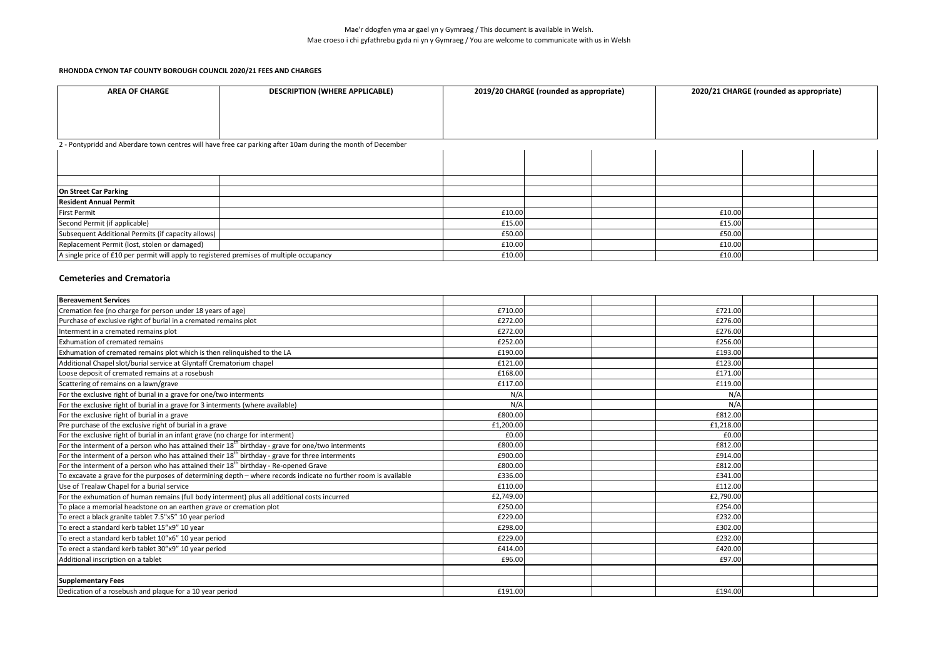| <b>AREA OF CHARGE</b>                                                                    | <b>DESCRIPTION (WHERE APPLICABLE)</b>                                                                       |        | 2019/20 CHARGE (rounded as appropriate) |        | 2020/21 CHARGE (rounded as appropriate) |  |
|------------------------------------------------------------------------------------------|-------------------------------------------------------------------------------------------------------------|--------|-----------------------------------------|--------|-----------------------------------------|--|
|                                                                                          |                                                                                                             |        |                                         |        |                                         |  |
|                                                                                          |                                                                                                             |        |                                         |        |                                         |  |
|                                                                                          |                                                                                                             |        |                                         |        |                                         |  |
|                                                                                          | 2 - Pontypridd and Aberdare town centres will have free car parking after 10am during the month of December |        |                                         |        |                                         |  |
|                                                                                          |                                                                                                             |        |                                         |        |                                         |  |
|                                                                                          |                                                                                                             |        |                                         |        |                                         |  |
|                                                                                          |                                                                                                             |        |                                         |        |                                         |  |
| On Street Car Parking                                                                    |                                                                                                             |        |                                         |        |                                         |  |
| <b>Resident Annual Permit</b>                                                            |                                                                                                             |        |                                         |        |                                         |  |
| <b>First Permit</b>                                                                      |                                                                                                             | £10.00 |                                         | £10.00 |                                         |  |
| Second Permit (if applicable)                                                            |                                                                                                             | £15.00 |                                         | £15.00 |                                         |  |
| Subsequent Additional Permits (if capacity allows)                                       |                                                                                                             | £50.00 |                                         | £50.00 |                                         |  |
| Replacement Permit (lost, stolen or damaged)                                             |                                                                                                             | £10.00 |                                         | £10.00 |                                         |  |
| A single price of £10 per permit will apply to registered premises of multiple occupancy |                                                                                                             | £10.00 |                                         | £10.00 |                                         |  |

### **Cemeteries and Crematoria**

| <b>Bereavement Services</b>                                                                                     |           |  |           |  |
|-----------------------------------------------------------------------------------------------------------------|-----------|--|-----------|--|
| Cremation fee (no charge for person under 18 years of age)                                                      | £710.00   |  | £721.00   |  |
| Purchase of exclusive right of burial in a cremated remains plot                                                | £272.00   |  | £276.00   |  |
| Interment in a cremated remains plot                                                                            | £272.00   |  | £276.00   |  |
| Exhumation of cremated remains                                                                                  | £252.00   |  | £256.00   |  |
| Exhumation of cremated remains plot which is then relinguished to the LA                                        | £190.00   |  | £193.00   |  |
| Additional Chapel slot/burial service at Glyntaff Crematorium chapel                                            | £121.00   |  | £123.00   |  |
| Loose deposit of cremated remains at a rosebush                                                                 | £168.00   |  | £171.00   |  |
| Scattering of remains on a lawn/grave                                                                           | £117.00   |  | £119.00   |  |
| For the exclusive right of burial in a grave for one/two interments                                             | N/A       |  | N/A       |  |
| For the exclusive right of burial in a grave for 3 interments (where available)                                 | N/A       |  | N/A       |  |
| For the exclusive right of burial in a grave                                                                    | £800.00   |  | £812.00   |  |
| Pre purchase of the exclusive right of burial in a grave                                                        | £1,200.00 |  | £1,218.00 |  |
| For the exclusive right of burial in an infant grave (no charge for interment)                                  | £0.00     |  | £0.00     |  |
| For the interment of a person who has attained their $18th$ birthday - grave for one/two interments             | £800.00   |  | £812.00   |  |
| For the interment of a person who has attained their $18th$ birthday - grave for three interments               | £900.00   |  | £914.00   |  |
| For the interment of a person who has attained their $18th$ birthday - Re-opened Grave                          | £800.00   |  | £812.00   |  |
| To excavate a grave for the purposes of determining depth - where records indicate no further room is available | £336.00   |  | £341.00   |  |
| Use of Trealaw Chapel for a burial service                                                                      | £110.00   |  | £112.00   |  |
| For the exhumation of human remains (full body interment) plus all additional costs incurred                    | £2,749.00 |  | £2,790.00 |  |
| To place a memorial headstone on an earthen grave or cremation plot                                             | £250.00   |  | £254.00   |  |
| To erect a black granite tablet 7.5"x5" 10 year period                                                          | £229.00   |  | £232.00   |  |
| To erect a standard kerb tablet 15"x9" 10 year                                                                  | £298.00   |  | £302.00   |  |
| To erect a standard kerb tablet 10"x6" 10 year period                                                           | £229.00   |  | £232.00   |  |
| To erect a standard kerb tablet 30"x9" 10 year period                                                           | £414.00   |  | £420.00   |  |
| Additional inscription on a tablet                                                                              | £96.00    |  | £97.00    |  |
|                                                                                                                 |           |  |           |  |
| <b>Supplementary Fees</b>                                                                                       |           |  |           |  |
| Dedication of a rosebush and plaque for a 10 year period                                                        | £191.00   |  | £194.00   |  |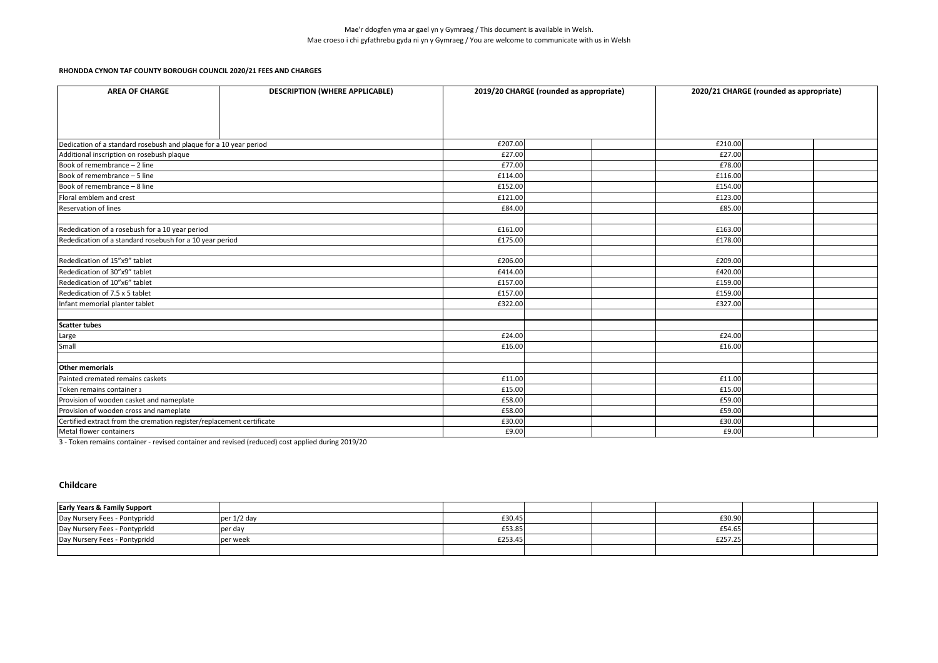| <b>AREA OF CHARGE</b>                                                 | <b>DESCRIPTION (WHERE APPLICABLE)</b>                    |         | 2019/20 CHARGE (rounded as appropriate)                                                                   | 2020/21 CHARGE (rounded as appropriate)                                                                  |  |
|-----------------------------------------------------------------------|----------------------------------------------------------|---------|-----------------------------------------------------------------------------------------------------------|----------------------------------------------------------------------------------------------------------|--|
|                                                                       |                                                          |         |                                                                                                           |                                                                                                          |  |
|                                                                       |                                                          |         |                                                                                                           |                                                                                                          |  |
| Dedication of a standard rosebush and plaque for a 10 year period     |                                                          | £207.00 |                                                                                                           | £210.00                                                                                                  |  |
| Additional inscription on rosebush plaque                             |                                                          | £27.00  |                                                                                                           | £27.00                                                                                                   |  |
| Book of remembrance - 2 line                                          |                                                          | £77.00  |                                                                                                           | £78.00<br>£116.00<br>£154.00<br>£123.00<br>£85.00<br>£163.00<br>£178.00<br>£209.00<br>£420.00<br>£159.00 |  |
| Book of remembrance - 5 line                                          |                                                          | £114.00 |                                                                                                           |                                                                                                          |  |
| Book of remembrance - 8 line                                          |                                                          | £152.00 |                                                                                                           |                                                                                                          |  |
| Floral emblem and crest                                               |                                                          | £121.00 | £84.00<br>£161.00<br>£175.00<br>£206.00<br>£414.00<br>£157.00<br>£157.00<br>£159.00<br>£322.00<br>£327.00 |                                                                                                          |  |
| <b>Reservation of lines</b>                                           |                                                          |         |                                                                                                           |                                                                                                          |  |
|                                                                       |                                                          |         |                                                                                                           |                                                                                                          |  |
| Rededication of a rosebush for a 10 year period                       |                                                          |         |                                                                                                           |                                                                                                          |  |
|                                                                       | Rededication of a standard rosebush for a 10 year period |         |                                                                                                           |                                                                                                          |  |
|                                                                       |                                                          |         |                                                                                                           |                                                                                                          |  |
| Rededication of 15"x9" tablet                                         |                                                          |         |                                                                                                           |                                                                                                          |  |
| Rededication of 30"x9" tablet                                         |                                                          |         |                                                                                                           |                                                                                                          |  |
| Rededication of 10"x6" tablet                                         |                                                          |         |                                                                                                           |                                                                                                          |  |
| Rededication of 7.5 x 5 tablet                                        |                                                          |         |                                                                                                           |                                                                                                          |  |
| Infant memorial planter tablet                                        |                                                          |         |                                                                                                           |                                                                                                          |  |
|                                                                       |                                                          |         |                                                                                                           |                                                                                                          |  |
| <b>Scatter tubes</b>                                                  |                                                          |         |                                                                                                           |                                                                                                          |  |
| Large                                                                 |                                                          | £24.00  |                                                                                                           | £24.00                                                                                                   |  |
| Small                                                                 |                                                          | £16.00  |                                                                                                           | £16.00                                                                                                   |  |
|                                                                       |                                                          |         |                                                                                                           |                                                                                                          |  |
| <b>Other memorials</b>                                                |                                                          |         |                                                                                                           |                                                                                                          |  |
| Painted cremated remains caskets                                      |                                                          | £11.00  |                                                                                                           | £11.00                                                                                                   |  |
| Token remains container 3                                             |                                                          | £15.00  |                                                                                                           | £15.00                                                                                                   |  |
| Provision of wooden casket and nameplate                              |                                                          | £58.00  |                                                                                                           | £59.00                                                                                                   |  |
| Provision of wooden cross and nameplate                               |                                                          | £58.00  |                                                                                                           | £59.00                                                                                                   |  |
| Certified extract from the cremation register/replacement certificate |                                                          | £30.00  |                                                                                                           | £30.00                                                                                                   |  |
| Metal flower containers                                               |                                                          | £9.00   |                                                                                                           | £9.00                                                                                                    |  |

3 - Token remains container - revised container and revised (reduced) cost applied during 2019/20

#### **Childcare**

| <b>Early Years &amp; Family Support</b> |             |         |  |         |  |
|-----------------------------------------|-------------|---------|--|---------|--|
| Day Nursery Fees - Pontypridd           | per 1/2 day | £30.45  |  | £30.90  |  |
| Day Nursery Fees - Pontypridd           | per day     | £53.85  |  | £54.65  |  |
| Day Nursery Fees - Pontypridd           | per week    | £253.45 |  | £257.25 |  |
|                                         |             |         |  |         |  |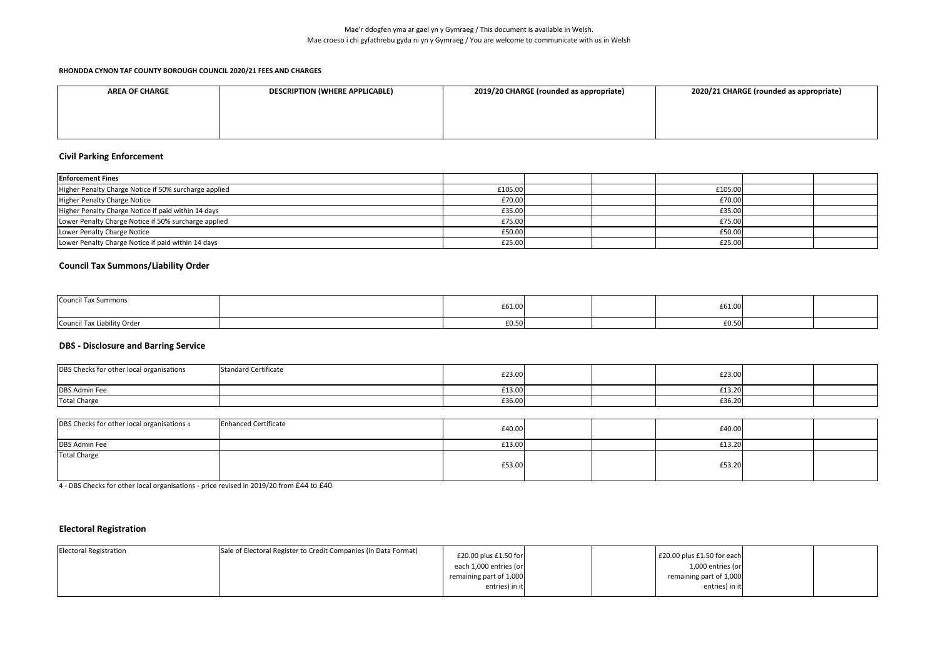| <b>AREA OF CHARGE</b> | <b>DESCRIPTION (WHERE APPLICABLE)</b> | 2019/20 CHARGE (rounded as appropriate) | 2020/21 CHARGE (rounded as appropriate) |
|-----------------------|---------------------------------------|-----------------------------------------|-----------------------------------------|
|                       |                                       |                                         |                                         |
|                       |                                       |                                         |                                         |
|                       |                                       |                                         |                                         |

## **Civil Parking Enforcement**

| <b>Enforcement Fines</b>                              |         |  |         |  |
|-------------------------------------------------------|---------|--|---------|--|
| Higher Penalty Charge Notice if 50% surcharge applied | £105.00 |  | £105.00 |  |
| <b>Higher Penalty Charge Notice</b>                   | £70.00  |  | £70.00  |  |
| Higher Penalty Charge Notice if paid within 14 days   | £35.00  |  | £35.00  |  |
| Lower Penalty Charge Notice if 50% surcharge applied  | £75.00  |  | £75.00  |  |
| Lower Penalty Charge Notice                           | £50.00  |  | £50.00  |  |
| Lower Penalty Charge Notice if paid within 14 days    | £25.00  |  | £25.00  |  |

# **Council Tax Summons/Liability Order**

| <b>Council Tax Summons</b>  | £61.00 |  | £61.00 |  |
|-----------------------------|--------|--|--------|--|
| Council Tax Liability Order | £0.50  |  | £0.50  |  |

### **DBS - Disclosure and Barring Service**

| DBS Checks for other local organisations | <b>Standard Certificate</b> | £23.00 |  | £23.00 |  |
|------------------------------------------|-----------------------------|--------|--|--------|--|
| <b>DBS Admin Fee</b>                     |                             | £13.00 |  | £13.20 |  |
| <b>Total Charge</b>                      |                             | £36.00 |  | £36.20 |  |

| DBS Checks for other local organisations 4 | <b>Enhanced Certificate</b> | £40.00 |  | £40.00 |  |
|--------------------------------------------|-----------------------------|--------|--|--------|--|
| DBS Admin Fee                              |                             | £13.00 |  | £13.20 |  |
| <b>Total Charge</b>                        |                             | £53.00 |  | £53.20 |  |

4 - DBS Checks for other local organisations - price revised in 2019/20 from £44 to £40

# **Electoral Registration**

| <b>Electoral Registration</b> | Sale of Electoral Register to Credit Companies (in Data Format) | £20.00 plus £1.50 for   |  | £20.00 plus £1.50 for each |  |
|-------------------------------|-----------------------------------------------------------------|-------------------------|--|----------------------------|--|
|                               |                                                                 | each 1,000 entries (or  |  | 1,000 entries (or          |  |
|                               |                                                                 | remaining part of 1,000 |  | remaining part of 1,000    |  |
|                               |                                                                 | entries) in it          |  | entries) in it             |  |
|                               |                                                                 |                         |  |                            |  |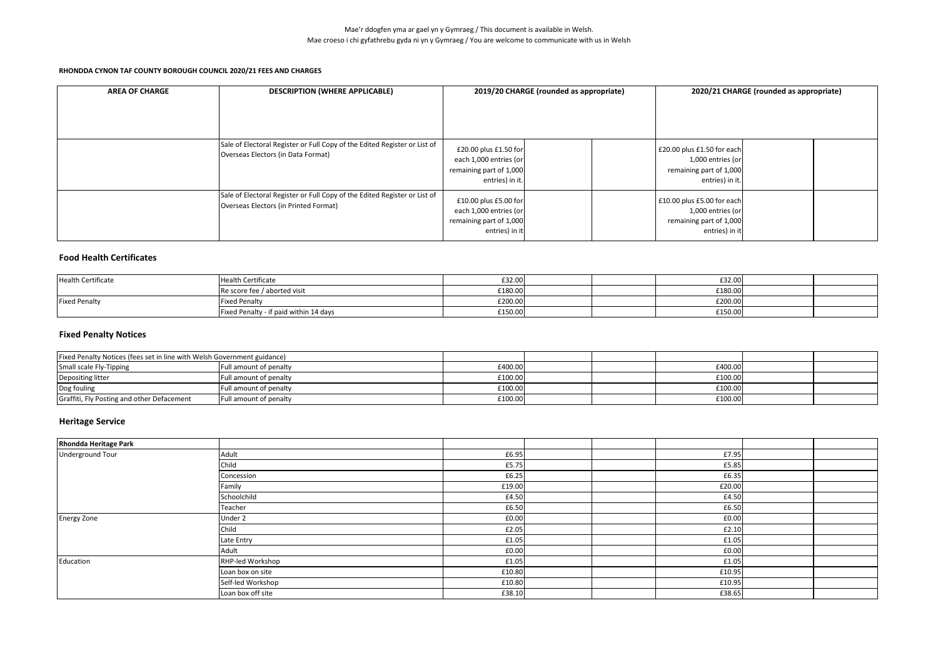| <b>AREA OF CHARGE</b> | <b>DESCRIPTION (WHERE APPLICABLE)</b>                                                                              | 2019/20 CHARGE (rounded as appropriate)                                                       |  |  | 2020/21 CHARGE (rounded as appropriate)                                                       |  |  |
|-----------------------|--------------------------------------------------------------------------------------------------------------------|-----------------------------------------------------------------------------------------------|--|--|-----------------------------------------------------------------------------------------------|--|--|
|                       | Sale of Electoral Register or Full Copy of the Edited Register or List of<br>Overseas Electors (in Data Format)    | £20.00 plus £1.50 for<br>each 1,000 entries (or<br>remaining part of 1,000<br>entries) in it. |  |  | £20.00 plus £1.50 for each<br>1,000 entries (or<br>remaining part of 1,000<br>entries) in it. |  |  |
|                       | Sale of Electoral Register or Full Copy of the Edited Register or List of<br>Overseas Electors (in Printed Format) | £10.00 plus £5.00 for<br>each 1,000 entries (or<br>remaining part of 1,000<br>entries) in it  |  |  | £10.00 plus £5.00 for each<br>1,000 entries (or<br>remaining part of 1,000<br>entries) in it  |  |  |

### **Food Health Certificates**

| <b>Health Certificate</b> | <b>Health Certificate</b>              | £32.00  |  | £32.00  |  |
|---------------------------|----------------------------------------|---------|--|---------|--|
|                           | Re score fee / aborted visit           | £180.00 |  | £180.00 |  |
| <b>Fixed Penalty</b>      | <b>Fixed Penalty</b>                   | £200.00 |  | £200.00 |  |
|                           | Fixed Penalty - if paid within 14 days | £150.00 |  | £150.00 |  |

## **Fixed Penalty Notices**

| Fixed Penalty Notices (fees set in line with Welsh Government guidance) |                        |         |  |         |  |
|-------------------------------------------------------------------------|------------------------|---------|--|---------|--|
| Small scale Fly-Tipping                                                 | Full amount of penalty | £400.00 |  | £400.00 |  |
| Depositing litter                                                       | Full amount of penalty | £100.00 |  | £100.00 |  |
| Dog fouling                                                             | Full amount of penalty | £100.00 |  | £100.00 |  |
| Graffiti, Fly Posting and other Defacement                              | Full amount of penalty | £100.00 |  | £100.00 |  |

# **Heritage Service**

| <b>Rhondda Heritage Park</b> |                   |        |  |        |  |
|------------------------------|-------------------|--------|--|--------|--|
| Underground Tour             | Adult             | £6.95  |  | £7.95  |  |
|                              | Child             | £5.75  |  | £5.85  |  |
|                              | Concession        | £6.25  |  | £6.35  |  |
|                              | Family            | £19.00 |  | £20.00 |  |
|                              | Schoolchild       | £4.50  |  | £4.50  |  |
|                              | Teacher           | £6.50  |  | £6.50  |  |
| <b>Energy Zone</b>           | Under 2           | £0.00  |  | £0.00  |  |
|                              | Child             | £2.05  |  | £2.10  |  |
|                              | Late Entry        | £1.05  |  | £1.05  |  |
|                              | Adult             | £0.00  |  | £0.00  |  |
| Education                    | RHP-led Workshop  | £1.05  |  | £1.05  |  |
|                              | Loan box on site  | £10.80 |  | £10.95 |  |
|                              | Self-led Workshop | £10.80 |  | £10.95 |  |
|                              | Loan box off site | £38.10 |  | £38.65 |  |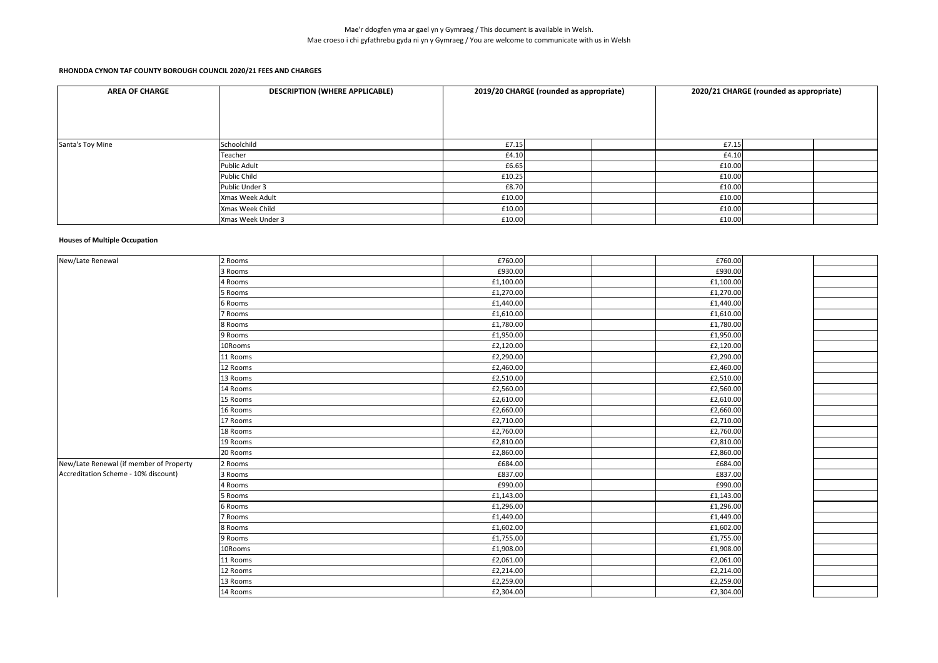| <b>AREA OF CHARGE</b> | <b>DESCRIPTION (WHERE APPLICABLE)</b> |        | 2019/20 CHARGE (rounded as appropriate) | 2020/21 CHARGE (rounded as appropriate) |  |  |
|-----------------------|---------------------------------------|--------|-----------------------------------------|-----------------------------------------|--|--|
|                       |                                       |        |                                         |                                         |  |  |
|                       |                                       |        |                                         |                                         |  |  |
| Santa's Toy Mine      | Schoolchild                           | £7.15  |                                         | £7.15                                   |  |  |
|                       | Teacher                               | £4.10  |                                         | £4.10                                   |  |  |
|                       | <b>Public Adult</b>                   | £6.65  |                                         | £10.00                                  |  |  |
|                       | <b>Public Child</b>                   | £10.25 |                                         | £10.00                                  |  |  |
|                       | Public Under 3                        | £8.70  |                                         | £10.00                                  |  |  |
|                       | Xmas Week Adult                       | £10.00 |                                         | £10.00                                  |  |  |
|                       | Xmas Week Child                       | £10.00 |                                         | £10.00                                  |  |  |
|                       | Xmas Week Under 3                     | £10.00 |                                         | £10.00                                  |  |  |

#### **Houses of Multiple Occupation**

| New/Late Renewal                        | 2 Rooms  | £760.00   | £760.00   |  |
|-----------------------------------------|----------|-----------|-----------|--|
|                                         | 3 Rooms  | £930.00   | £930.00   |  |
|                                         | 4 Rooms  | £1,100.00 | £1,100.00 |  |
|                                         | 5 Rooms  | £1,270.00 | £1,270.00 |  |
|                                         | 6 Rooms  | £1,440.00 | £1,440.00 |  |
|                                         | 7 Rooms  | £1,610.00 | £1,610.00 |  |
|                                         | 8 Rooms  | £1,780.00 | £1,780.00 |  |
|                                         | 9 Rooms  | £1,950.00 | £1,950.00 |  |
|                                         | 10Rooms  | £2,120.00 | £2,120.00 |  |
|                                         | 11 Rooms | £2,290.00 | £2,290.00 |  |
|                                         | 12 Rooms | £2,460.00 | £2,460.00 |  |
|                                         | 13 Rooms | £2,510.00 | £2,510.00 |  |
|                                         | 14 Rooms | £2,560.00 | £2,560.00 |  |
|                                         | 15 Rooms | £2,610.00 | £2,610.00 |  |
|                                         | 16 Rooms | £2,660.00 | £2,660.00 |  |
|                                         | 17 Rooms | £2,710.00 | £2,710.00 |  |
|                                         | 18 Rooms | £2,760.00 | £2,760.00 |  |
|                                         | 19 Rooms | £2,810.00 | £2,810.00 |  |
|                                         | 20 Rooms | £2,860.00 | £2,860.00 |  |
| New/Late Renewal (if member of Property | 2 Rooms  | £684.00   | £684.00   |  |
| Accreditation Scheme - 10% discount)    | 3 Rooms  | £837.00   | £837.00   |  |
|                                         | 4 Rooms  | £990.00   | £990.00   |  |
|                                         | 5 Rooms  | £1,143.00 | £1,143.00 |  |
|                                         | 6 Rooms  | £1,296.00 | £1,296.00 |  |
|                                         | 7 Rooms  | £1,449.00 | £1,449.00 |  |
|                                         | 8 Rooms  | £1,602.00 | £1,602.00 |  |
|                                         | 9 Rooms  | £1,755.00 | £1,755.00 |  |
|                                         | 10Rooms  | £1,908.00 | £1,908.00 |  |
|                                         | 11 Rooms | £2,061.00 | £2,061.00 |  |
|                                         | 12 Rooms | £2,214.00 | £2,214.00 |  |
|                                         | 13 Rooms | £2,259.00 | £2,259.00 |  |
|                                         | 14 Rooms | £2,304.00 | £2,304.00 |  |
|                                         |          |           |           |  |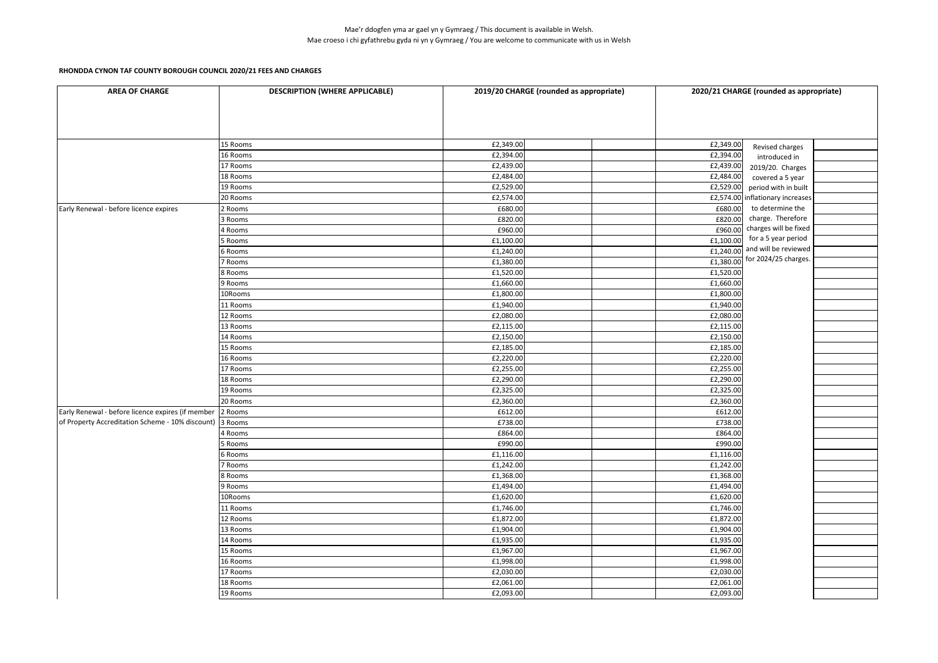| <b>AREA OF CHARGE</b>                                    | <b>DESCRIPTION (WHERE APPLICABLE)</b> | 2019/20 CHARGE (rounded as appropriate) | 2020/21 CHARGE (rounded as appropriate) |                                                      |  |
|----------------------------------------------------------|---------------------------------------|-----------------------------------------|-----------------------------------------|------------------------------------------------------|--|
|                                                          |                                       |                                         |                                         |                                                      |  |
|                                                          | 15 Rooms                              | £2,349.00                               | £2,349.00                               | Revised charges                                      |  |
|                                                          | 16 Rooms                              | £2,394.00                               | £2,394.00                               | introduced in                                        |  |
|                                                          | 17 Rooms                              | £2,439.00                               | £2,439.00                               | 2019/20. Charges                                     |  |
|                                                          | 18 Rooms                              | £2,484.00                               | £2,484.00                               | covered a 5 year                                     |  |
|                                                          | 19 Rooms                              | £2,529.00<br>£2,574.00                  | £2,529.00                               | period with in built                                 |  |
|                                                          | 20 Rooms                              | £680.00                                 |                                         | £2,574.00 inflationary increases<br>to determine the |  |
| Early Renewal - before licence expires                   | 2 Rooms                               | £820.00                                 | £680.00<br>£820.00                      | charge. Therefore                                    |  |
|                                                          | 3 Rooms<br>4 Rooms                    | £960.00                                 | £960.00                                 | charges will be fixed                                |  |
|                                                          | Rooms                                 | £1,100.00                               | £1,100.00                               | for a 5 year period                                  |  |
|                                                          | 6 Rooms                               | £1,240.00                               | £1,240.00                               | and will be reviewed                                 |  |
|                                                          | Rooms                                 | £1,380.00                               |                                         | £1,380.00 for 2024/25 charges.                       |  |
|                                                          | 8 Rooms                               | £1,520.00                               | £1,520.00                               |                                                      |  |
|                                                          | 9 Rooms                               | £1,660.00                               | £1,660.00                               |                                                      |  |
|                                                          | 10Rooms                               | £1,800.00                               | £1,800.00                               |                                                      |  |
|                                                          | 11 Rooms                              | £1,940.00                               | £1,940.00                               |                                                      |  |
|                                                          | 12 Rooms                              | £2,080.00                               | £2,080.00                               |                                                      |  |
|                                                          | 13 Rooms                              | £2,115.00                               | £2,115.00                               |                                                      |  |
|                                                          | 14 Rooms                              | £2,150.00                               | £2,150.00                               |                                                      |  |
|                                                          | 15 Rooms                              | £2,185.00                               | £2,185.00                               |                                                      |  |
|                                                          | 16 Rooms                              | £2,220.00                               | £2,220.00                               |                                                      |  |
|                                                          | 17 Rooms                              | £2,255.00                               | £2,255.00                               |                                                      |  |
|                                                          | 18 Rooms                              | £2,290.00                               | £2,290.00                               |                                                      |  |
|                                                          | 19 Rooms                              | £2,325.00                               | £2,325.00                               |                                                      |  |
|                                                          | 20 Rooms                              | £2,360.00                               | £2,360.00                               |                                                      |  |
| Early Renewal - before licence expires (if member        | 2 Rooms                               | £612.00                                 | £612.00                                 |                                                      |  |
| of Property Accreditation Scheme - 10% discount) 3 Rooms |                                       | £738.00                                 | £738.00                                 |                                                      |  |
|                                                          | <b>Rooms</b>                          | £864.00                                 | £864.00                                 |                                                      |  |
|                                                          | 5 Rooms                               | £990.00                                 | £990.00                                 |                                                      |  |
|                                                          | Rooms                                 | £1,116.00                               | £1,116.00                               |                                                      |  |
|                                                          | Rooms                                 | £1,242.00                               | £1,242.00                               |                                                      |  |
|                                                          | 8 Rooms                               | £1,368.00                               | £1,368.00                               |                                                      |  |
|                                                          | 9 Rooms                               | £1,494.00                               | £1,494.00                               |                                                      |  |
|                                                          | 10Rooms                               | £1,620.00                               | £1,620.00                               |                                                      |  |
|                                                          | 11 Rooms                              | £1,746.00                               | £1,746.00                               |                                                      |  |
|                                                          | 12 Rooms                              | £1,872.00                               | £1,872.00                               |                                                      |  |
|                                                          | 13 Rooms                              | £1,904.00                               | £1,904.00                               |                                                      |  |
|                                                          | 14 Rooms                              | £1,935.00                               | £1,935.00                               |                                                      |  |
|                                                          | 15 Rooms                              | £1,967.00                               | £1,967.00                               |                                                      |  |
|                                                          | 16 Rooms                              | £1,998.00                               | £1,998.00                               |                                                      |  |
|                                                          | 17 Rooms                              | £2,030.00                               | £2,030.00                               |                                                      |  |
|                                                          | 18 Rooms                              | £2,061.00                               | £2,061.00                               |                                                      |  |
|                                                          | 19 Rooms                              | £2,093.00                               | £2,093.00                               |                                                      |  |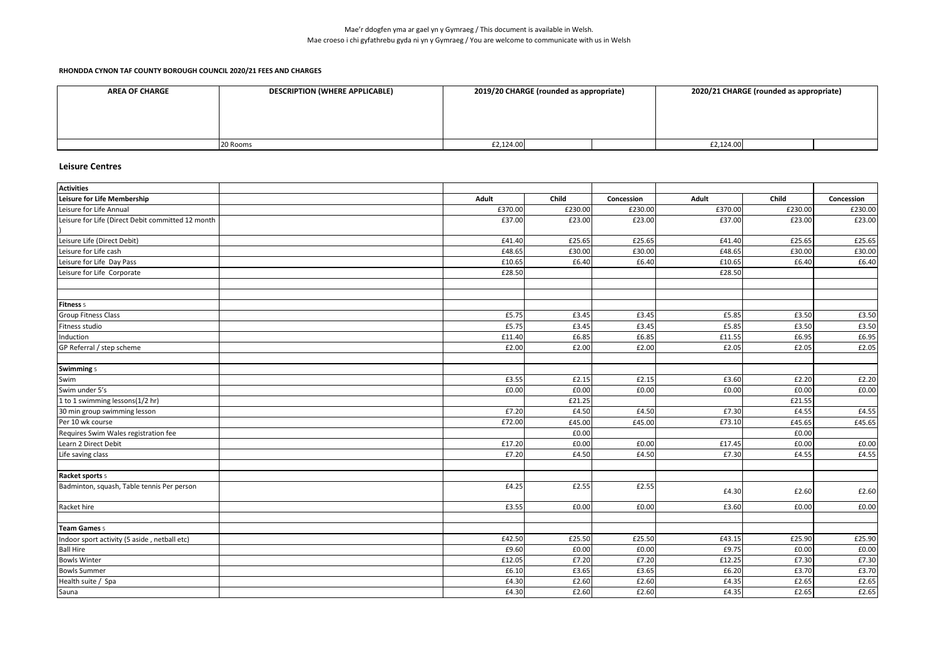### **RHONDDA CYNON TAF COUNTY BOROUGH COUNCIL 2020/21 FEES AND CHARGES**

| <b>AREA OF CHARGE</b> | <b>DESCRIPTION (WHERE APPLICABLE)</b> | 2019/20 CHARGE (rounded as appropriate) | 2020/21 CHARGE (rounded as appropriate) |
|-----------------------|---------------------------------------|-----------------------------------------|-----------------------------------------|
|                       |                                       |                                         |                                         |
|                       |                                       |                                         |                                         |
|                       |                                       |                                         |                                         |
|                       | 20 Rooms                              | £2,124.00                               | £2,124.00                               |

## **Leisure Centres**

| <b>Activities</b>                                 |         |         |            |         |         |            |
|---------------------------------------------------|---------|---------|------------|---------|---------|------------|
| <b>Leisure for Life Membership</b>                | Adult   | Child   | Concession | Adult   | Child   | Concession |
| Leisure for Life Annual                           | £370.00 | £230.00 | £230.00    | £370.00 | £230.00 | £230.00    |
| Leisure for Life (Direct Debit committed 12 month | £37.00  | £23.00  | £23.00     | £37.00  | £23.00  | £23.00     |
| Leisure Life (Direct Debit)                       | £41.40  | £25.65  | £25.65     | £41.40  | £25.65  | £25.65     |
| Leisure for Life cash                             | £48.65  | £30.00  | £30.00     | £48.65  | £30.00  | £30.00     |
| Leisure for Life Day Pass                         | £10.65  | £6.40   | £6.40      | £10.65  | £6.40   | £6.40      |
| Leisure for Life Corporate                        | £28.50  |         |            | £28.50  |         |            |
| Fitness 5                                         |         |         |            |         |         |            |
| <b>Group Fitness Class</b>                        | £5.75   | £3.45   | £3.45      | £5.85   | £3.50   | £3.50      |
| Fitness studio                                    | £5.75   | £3.45   | £3.45      | £5.85   | £3.50   | £3.50      |
| Induction                                         | £11.40  | £6.85   | £6.85      | £11.55  | £6.95   | £6.95      |
| GP Referral / step scheme                         | £2.00   | £2.00   | £2.00      | £2.05   | £2.05   | £2.05      |
|                                                   |         |         |            |         |         |            |
| <b>Swimming 5</b>                                 |         |         |            |         |         |            |
| Swim                                              | £3.55   | £2.15   | £2.15      | £3.60   | £2.20   | £2.20      |
| Swim under 5's                                    | £0.00   | £0.00   | £0.00      | £0.00   | £0.00   | £0.00      |
| 1 to 1 swimming lessons(1/2 hr)                   |         | £21.25  |            |         | £21.55  |            |
| 30 min group swimming lesson                      | £7.20   | £4.50   | £4.50      | £7.30   | £4.55   | £4.55      |
| Per 10 wk course                                  | £72.00  | £45.00  | £45.00     | £73.10  | £45.65  | £45.65     |
| Requires Swim Wales registration fee              |         | £0.00   |            |         | £0.00   |            |
| Learn 2 Direct Debit                              | £17.20  | f0.00   | £0.00      | £17.45  | £0.00   | £0.00      |
| Life saving class                                 | £7.20   | £4.50   | £4.50      | £7.30   | £4.55   | £4.55      |
| Racket sports 5                                   |         |         |            |         |         |            |
| Badminton, squash, Table tennis Per person        | £4.25   | £2.55   | £2.55      | £4.30   | £2.60   | £2.60      |
| Racket hire                                       | £3.55   | £0.00   | £0.00      | £3.60   | £0.00   | £0.00      |
| Team Games 5                                      |         |         |            |         |         |            |
| Indoor sport activity (5 aside, netball etc)      | £42.50  | £25.50  | £25.50     | £43.15  | £25.90  | £25.90     |
| <b>Ball Hire</b>                                  | £9.60   | £0.00   | £0.00      | £9.75   | £0.00   | £0.00      |
| <b>Bowls Winter</b>                               | £12.05  | £7.20   | £7.20      | £12.25  | £7.30   | £7.30      |
| <b>Bowls Summer</b>                               | £6.10   | £3.65   | £3.65      | £6.20   | £3.70   | £3.70      |
| Health suite / Spa                                | £4.30   | £2.60   | £2.60      | £4.35   | £2.65   | £2.65      |
| Sauna                                             | £4.30   | £2.60   | £2.60      | £4.35   | £2.65   | £2.65      |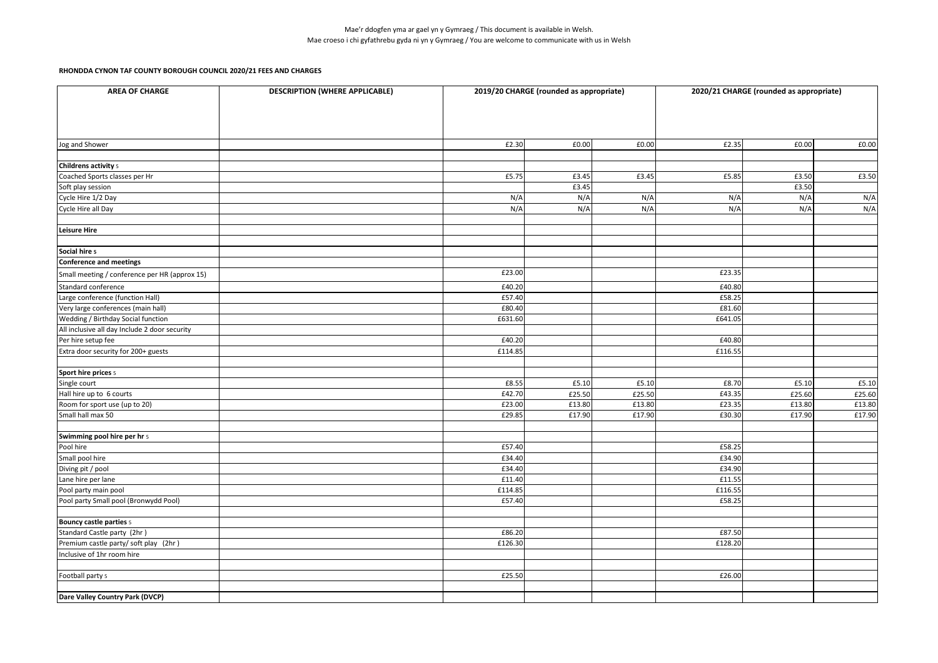| <b>AREA OF CHARGE</b>                         | <b>DESCRIPTION (WHERE APPLICABLE)</b> | 2019/20 CHARGE (rounded as appropriate) |        |        | 2020/21 CHARGE (rounded as appropriate) |        |        |  |
|-----------------------------------------------|---------------------------------------|-----------------------------------------|--------|--------|-----------------------------------------|--------|--------|--|
|                                               |                                       |                                         |        |        |                                         |        |        |  |
| Jog and Shower                                |                                       | £2.30                                   | £0.00  | £0.00  | £2.35                                   | £0.00  | £0.00  |  |
| <b>Childrens activity 5</b>                   |                                       |                                         |        |        |                                         |        |        |  |
| Coached Sports classes per Hr                 |                                       | £5.75                                   | £3.45  | £3.45  | £5.85                                   | £3.50  | £3.50  |  |
| Soft play session                             |                                       |                                         | £3.45  |        |                                         | £3.50  |        |  |
| Cycle Hire 1/2 Day                            |                                       | N/A                                     | N/A    | N/A    | N/A                                     | N/A    | N/A    |  |
| Cycle Hire all Day                            |                                       | N/A                                     | N/A    | N/A    | N/A                                     | N/A    | N/A    |  |
| <b>Leisure Hire</b>                           |                                       |                                         |        |        |                                         |        |        |  |
| Social hire 5                                 |                                       |                                         |        |        |                                         |        |        |  |
| <b>Conference and meetings</b>                |                                       |                                         |        |        |                                         |        |        |  |
| Small meeting / conference per HR (approx 15) |                                       | £23.00                                  |        |        | £23.35                                  |        |        |  |
| Standard conference                           |                                       | £40.20                                  |        |        | £40.80                                  |        |        |  |
| Large conference (function Hall)              |                                       | £57.40                                  |        |        | £58.25                                  |        |        |  |
| Very large conferences (main hall)            |                                       | £80.40                                  |        |        | £81.60                                  |        |        |  |
| Wedding / Birthday Social function            |                                       | £631.60                                 |        |        | £641.05                                 |        |        |  |
| All inclusive all day Include 2 door security |                                       |                                         |        |        |                                         |        |        |  |
| Per hire setup fee                            |                                       | £40.20                                  |        |        | £40.80                                  |        |        |  |
| Extra door security for 200+ guests           |                                       | £114.85                                 |        |        | £116.55                                 |        |        |  |
|                                               |                                       |                                         |        |        |                                         |        |        |  |
| <b>Sport hire prices 5</b><br>Single court    |                                       | £8.55                                   | £5.10  | £5.10  | £8.70                                   | £5.10  | £5.10  |  |
| Hall hire up to 6 courts                      |                                       | £42.70                                  | £25.50 | £25.50 | £43.35                                  | £25.60 | £25.60 |  |
| Room for sport use (up to 20)                 |                                       | £23.00                                  | £13.80 | £13.80 | £23.35                                  | £13.80 | £13.80 |  |
| Small hall max 50                             |                                       | £29.85                                  | £17.90 | £17.90 | £30.30                                  | £17.90 | £17.90 |  |
|                                               |                                       |                                         |        |        |                                         |        |        |  |
| Swimming pool hire per hr 5                   |                                       |                                         |        |        |                                         |        |        |  |
| Pool hire                                     |                                       | £57.40                                  |        |        | £58.25                                  |        |        |  |
| Small pool hire                               |                                       | £34.40                                  |        |        | £34.90                                  |        |        |  |
| Diving pit / pool                             |                                       | £34.40                                  |        |        | £34.90                                  |        |        |  |
| Lane hire per lane                            |                                       | £11.40                                  |        |        | £11.55                                  |        |        |  |
| Pool party main pool                          |                                       | £114.85                                 |        |        | £116.55                                 |        |        |  |
| Pool party Small pool (Bronwydd Pool)         |                                       | £57.40                                  |        |        | £58.25                                  |        |        |  |
|                                               |                                       |                                         |        |        |                                         |        |        |  |
| <b>Bouncy castle parties 5</b>                |                                       |                                         |        |        |                                         |        |        |  |
| Standard Castle party (2hr)                   |                                       | £86.20                                  |        |        | £87.50                                  |        |        |  |
| Premium castle party/ soft play (2hr)         |                                       | £126.30                                 |        |        | £128.20                                 |        |        |  |
| Inclusive of 1hr room hire                    |                                       |                                         |        |        |                                         |        |        |  |
|                                               |                                       |                                         |        |        |                                         |        |        |  |
| Football party 5                              |                                       | £25.50                                  |        |        | £26.00                                  |        |        |  |
| Dare Valley Country Park (DVCP)               |                                       |                                         |        |        |                                         |        |        |  |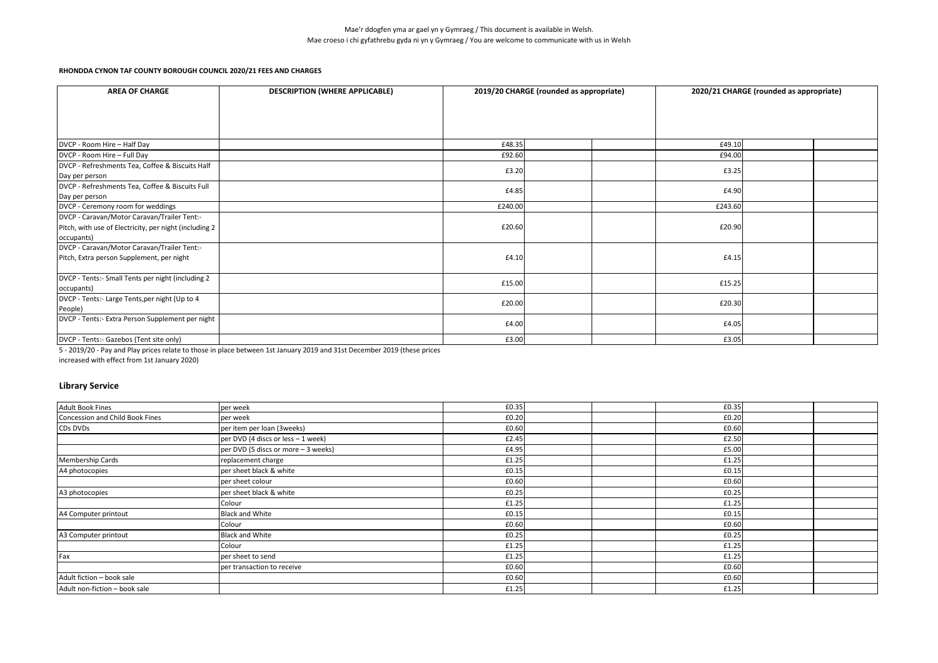| <b>AREA OF CHARGE</b>                                  | <b>DESCRIPTION (WHERE APPLICABLE)</b> | 2019/20 CHARGE (rounded as appropriate) |  | 2020/21 CHARGE (rounded as appropriate) |         |  |  |
|--------------------------------------------------------|---------------------------------------|-----------------------------------------|--|-----------------------------------------|---------|--|--|
|                                                        |                                       |                                         |  |                                         |         |  |  |
|                                                        |                                       |                                         |  |                                         |         |  |  |
|                                                        |                                       |                                         |  |                                         |         |  |  |
| DVCP - Room Hire - Half Day                            |                                       | £48.35                                  |  |                                         | £49.10  |  |  |
| DVCP - Room Hire - Full Day                            |                                       | £92.60                                  |  |                                         | £94.00  |  |  |
| DVCP - Refreshments Tea, Coffee & Biscuits Half        |                                       | £3.20                                   |  |                                         | £3.25   |  |  |
| Day per person                                         |                                       |                                         |  |                                         |         |  |  |
| DVCP - Refreshments Tea, Coffee & Biscuits Full        |                                       | £4.85                                   |  |                                         | £4.90   |  |  |
| Day per person                                         |                                       |                                         |  |                                         |         |  |  |
| DVCP - Ceremony room for weddings                      |                                       | £240.00                                 |  |                                         | £243.60 |  |  |
| DVCP - Caravan/Motor Caravan/Trailer Tent:-            |                                       |                                         |  |                                         |         |  |  |
| Pitch, with use of Electricity, per night (including 2 |                                       | £20.60                                  |  |                                         | £20.90  |  |  |
| occupants)                                             |                                       |                                         |  |                                         |         |  |  |
| DVCP - Caravan/Motor Caravan/Trailer Tent:-            |                                       |                                         |  |                                         |         |  |  |
| Pitch, Extra person Supplement, per night              |                                       | £4.10                                   |  |                                         | £4.15   |  |  |
|                                                        |                                       |                                         |  |                                         |         |  |  |
| DVCP - Tents:- Small Tents per night (including 2      |                                       | £15.00                                  |  |                                         | £15.25  |  |  |
| occupants)                                             |                                       |                                         |  |                                         |         |  |  |
| DVCP - Tents:- Large Tents, per night (Up to 4         |                                       | £20.00                                  |  |                                         | £20.30  |  |  |
| People)                                                |                                       |                                         |  |                                         |         |  |  |
| DVCP - Tents:- Extra Person Supplement per night       |                                       | £4.00                                   |  |                                         | £4.05   |  |  |
|                                                        |                                       |                                         |  |                                         |         |  |  |
| DVCP - Tents:- Gazebos (Tent site only)                |                                       | £3.00                                   |  |                                         | £3.05   |  |  |

5 - 2019/20 - Pay and Play prices relate to those in place between 1st January 2019 and 31st December 2019 (these prices

increased with effect from 1st January 2020)

## **Library Service**

| <b>Adult Book Fines</b>         | per week                            | £0.35 | £0.35 |  |
|---------------------------------|-------------------------------------|-------|-------|--|
| Concession and Child Book Fines | per week                            | £0.20 | £0.20 |  |
| CDs DVDs                        | per item per loan (3weeks)          | £0.60 | £0.60 |  |
|                                 | per DVD (4 discs or less - 1 week)  | £2.45 | £2.50 |  |
|                                 | per DVD (5 discs or more - 3 weeks) | £4.95 | £5.00 |  |
| <b>Membership Cards</b>         | replacement charge                  | £1.25 | £1.25 |  |
| A4 photocopies                  | per sheet black & white             | £0.15 | £0.15 |  |
|                                 | per sheet colour                    | £0.60 | £0.60 |  |
| A3 photocopies                  | per sheet black & white             | £0.25 | £0.25 |  |
|                                 | Colour                              | £1.25 | £1.25 |  |
| A4 Computer printout            | <b>Black and White</b>              | £0.15 | £0.15 |  |
|                                 | Colour                              | £0.60 | £0.60 |  |
| A3 Computer printout            | <b>Black and White</b>              | £0.25 | £0.25 |  |
|                                 | Colour                              | £1.25 | £1.25 |  |
| Fax                             | per sheet to send                   | £1.25 | £1.25 |  |
|                                 | per transaction to receive          | £0.60 | £0.60 |  |
| Adult fiction - book sale       |                                     | £0.60 | £0.60 |  |
| Adult non-fiction - book sale   |                                     | £1.25 | £1.25 |  |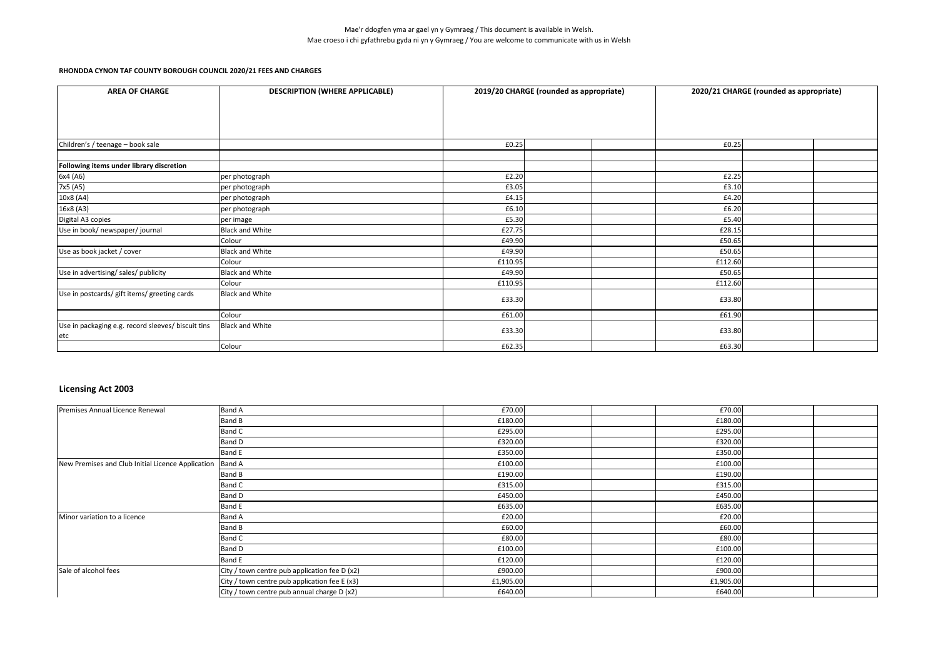| <b>AREA OF CHARGE</b>                                     | <b>DESCRIPTION (WHERE APPLICABLE)</b> |         | 2019/20 CHARGE (rounded as appropriate) | 2020/21 CHARGE (rounded as appropriate) |  |  |
|-----------------------------------------------------------|---------------------------------------|---------|-----------------------------------------|-----------------------------------------|--|--|
|                                                           |                                       |         |                                         |                                         |  |  |
|                                                           |                                       |         |                                         |                                         |  |  |
|                                                           |                                       |         |                                         |                                         |  |  |
|                                                           |                                       |         |                                         |                                         |  |  |
| Children's / teenage - book sale                          |                                       | £0.25   |                                         | £0.25                                   |  |  |
|                                                           |                                       |         |                                         |                                         |  |  |
| Following items under library discretion                  |                                       |         |                                         |                                         |  |  |
| 6x4 (A6)                                                  | per photograph                        | £2.20   |                                         | £2.25                                   |  |  |
| 7x5 (A5)                                                  | per photograph                        | £3.05   |                                         | £3.10                                   |  |  |
| 10x8 (A4)                                                 | per photograph                        | £4.15   |                                         | £4.20                                   |  |  |
| 16x8 (A3)                                                 | per photograph                        | £6.10   |                                         | £6.20                                   |  |  |
| Digital A3 copies                                         | per image                             | £5.30   |                                         | £5.40                                   |  |  |
| Use in book/ newspaper/ journal                           | <b>Black and White</b>                | £27.75  |                                         | £28.15                                  |  |  |
|                                                           | Colour                                | £49.90  |                                         | £50.65                                  |  |  |
| Use as book jacket / cover                                | <b>Black and White</b>                | £49.90  |                                         | £50.65                                  |  |  |
|                                                           | Colour                                | £110.95 |                                         | £112.60                                 |  |  |
| Use in advertising/ sales/ publicity                      | <b>Black and White</b>                | £49.90  |                                         | £50.65                                  |  |  |
|                                                           | Colour                                | £110.95 |                                         | £112.60                                 |  |  |
| Use in postcards/ gift items/ greeting cards              | <b>Black and White</b>                | £33.30  |                                         | £33.80                                  |  |  |
|                                                           | Colour                                | £61.00  |                                         | £61.90                                  |  |  |
| Use in packaging e.g. record sleeves/ biscuit tins<br>etc | <b>Black and White</b>                | £33.30  |                                         | £33.80                                  |  |  |
|                                                           | Colour                                | £62.35  |                                         | £63.30                                  |  |  |

## **Licensing Act 2003**

| Premises Annual Licence Renewal                   | <b>Band A</b>                                 | £70.00    |  | £70.00    |  |
|---------------------------------------------------|-----------------------------------------------|-----------|--|-----------|--|
|                                                   | Band B                                        | £180.00   |  | £180.00   |  |
|                                                   | Band C                                        | £295.00   |  | £295.00   |  |
|                                                   | Band D                                        | £320.00   |  | £320.00   |  |
|                                                   | <b>Band E</b>                                 | £350.00   |  | £350.00   |  |
| New Premises and Club Initial Licence Application | Band A                                        | £100.00   |  | £100.00   |  |
|                                                   | Band B                                        | £190.00   |  | £190.00   |  |
|                                                   | Band C                                        | £315.00   |  | £315.00   |  |
|                                                   | Band D                                        | £450.00   |  | £450.00   |  |
|                                                   | <b>Band E</b>                                 | £635.00   |  | £635.00   |  |
| Minor variation to a licence                      | <b>Band A</b>                                 | £20.00    |  | £20.00    |  |
|                                                   | Band B                                        | £60.00    |  | £60.00    |  |
|                                                   | Band C                                        | £80.00    |  | £80.00    |  |
|                                                   | Band D                                        | £100.00   |  | £100.00   |  |
|                                                   | <b>Band E</b>                                 | £120.00   |  | £120.00   |  |
| Sale of alcohol fees                              | City / town centre pub application fee D (x2) | £900.00   |  | £900.00   |  |
|                                                   | City / town centre pub application fee E (x3) | £1,905.00 |  | £1,905.00 |  |
|                                                   | City / town centre pub annual charge D (x2)   | £640.00   |  | £640.00   |  |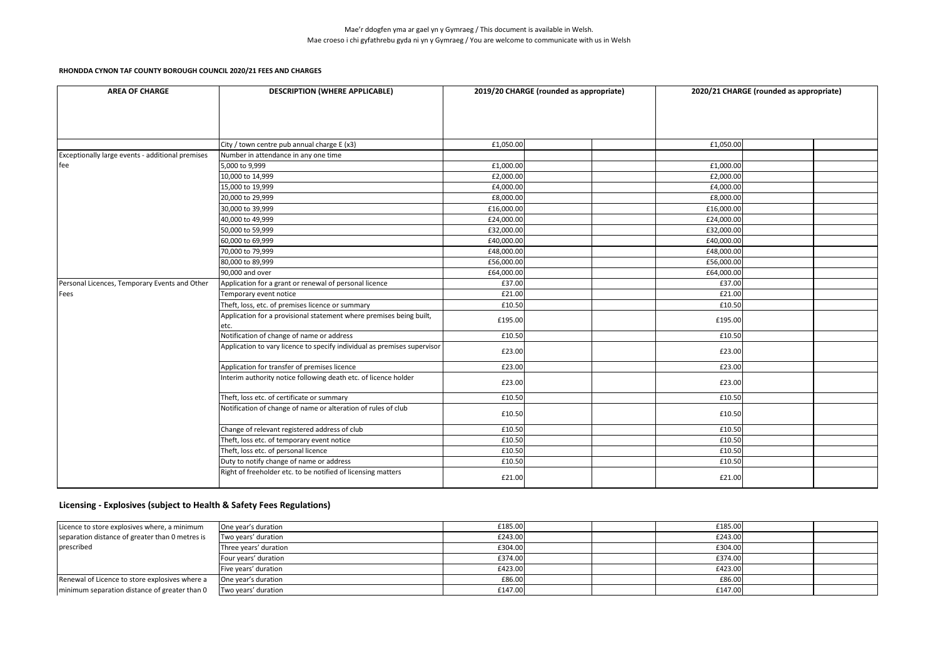| <b>AREA OF CHARGE</b>                            | <b>DESCRIPTION (WHERE APPLICABLE)</b>                                       | 2019/20 CHARGE (rounded as appropriate) |  |  | 2020/21 CHARGE (rounded as appropriate) |  |  |
|--------------------------------------------------|-----------------------------------------------------------------------------|-----------------------------------------|--|--|-----------------------------------------|--|--|
|                                                  |                                                                             |                                         |  |  |                                         |  |  |
|                                                  | City / town centre pub annual charge E (x3)                                 | £1,050.00                               |  |  | £1,050.00                               |  |  |
| Exceptionally large events - additional premises | Number in attendance in any one time                                        |                                         |  |  |                                         |  |  |
| fee                                              | 5,000 to 9,999                                                              | £1,000.00                               |  |  | £1,000.00                               |  |  |
|                                                  | 10,000 to 14,999                                                            | £2,000.00                               |  |  | £2,000.00                               |  |  |
|                                                  | 15,000 to 19,999                                                            | £4,000.00                               |  |  | £4,000.00                               |  |  |
|                                                  | 20,000 to 29,999                                                            | £8,000.00                               |  |  | £8,000.00                               |  |  |
|                                                  | 30,000 to 39,999                                                            | £16,000.00                              |  |  | £16,000.00                              |  |  |
|                                                  | 40,000 to 49,999                                                            | £24,000.00                              |  |  | £24,000.00                              |  |  |
|                                                  | 50,000 to 59,999                                                            | £32,000.00                              |  |  | £32,000.00                              |  |  |
|                                                  | 60,000 to 69,999                                                            | £40,000.00                              |  |  | £40,000.00                              |  |  |
|                                                  | 70,000 to 79,999                                                            | £48,000.00                              |  |  | £48,000.00                              |  |  |
|                                                  | 80,000 to 89,999                                                            | £56,000.00                              |  |  | £56,000.00                              |  |  |
|                                                  | 90,000 and over                                                             | £64,000.00                              |  |  | £64,000.00                              |  |  |
| Personal Licences, Temporary Events and Other    | Application for a grant or renewal of personal licence                      | £37.00                                  |  |  | £37.00                                  |  |  |
| Fees                                             | Temporary event notice                                                      | £21.00                                  |  |  | £21.00                                  |  |  |
|                                                  | Theft, loss, etc. of premises licence or summary                            | £10.50                                  |  |  | £10.50                                  |  |  |
|                                                  | Application for a provisional statement where premises being built,<br>etc. | £195.00                                 |  |  | £195.00                                 |  |  |
|                                                  | Notification of change of name or address                                   | £10.50                                  |  |  | £10.50                                  |  |  |
|                                                  | Application to vary licence to specify individual as premises supervisor    | £23.00                                  |  |  | £23.00                                  |  |  |
|                                                  | Application for transfer of premises licence                                | £23.00                                  |  |  | £23.00                                  |  |  |
|                                                  | Interim authority notice following death etc. of licence holder             | £23.00                                  |  |  | £23.00                                  |  |  |
|                                                  | Theft, loss etc. of certificate or summary                                  | £10.50                                  |  |  | £10.50                                  |  |  |
|                                                  | Notification of change of name or alteration of rules of club               | £10.50                                  |  |  | £10.50                                  |  |  |
|                                                  | Change of relevant registered address of club                               | £10.50                                  |  |  | £10.50                                  |  |  |
|                                                  | Theft, loss etc. of temporary event notice                                  | £10.50                                  |  |  | £10.50                                  |  |  |
|                                                  | Theft, loss etc. of personal licence                                        | £10.50                                  |  |  | £10.50                                  |  |  |
|                                                  | Duty to notify change of name or address                                    | £10.50                                  |  |  | £10.50                                  |  |  |
|                                                  | Right of freeholder etc. to be notified of licensing matters                | £21.00                                  |  |  | £21.00                                  |  |  |

# **Licensing - Explosives (subject to Health & Safety Fees Regulations)**

| Licence to store explosives where, a minimum    | One year's duration   | £185.00 | £185.00 |  |
|-------------------------------------------------|-----------------------|---------|---------|--|
| separation distance of greater than 0 metres is | Two years' duration   | £243.00 | £243.00 |  |
| prescribed                                      | Three years' duration | £304.00 | £304.00 |  |
|                                                 | Four years' duration  | £374.00 | £374.00 |  |
|                                                 | Five years' duration  | £423.00 | £423.00 |  |
| Renewal of Licence to store explosives where a  | One year's duration   | £86.00  | £86.00  |  |
| minimum separation distance of greater than 0   | Two vears' duration   | £147.00 | £147.00 |  |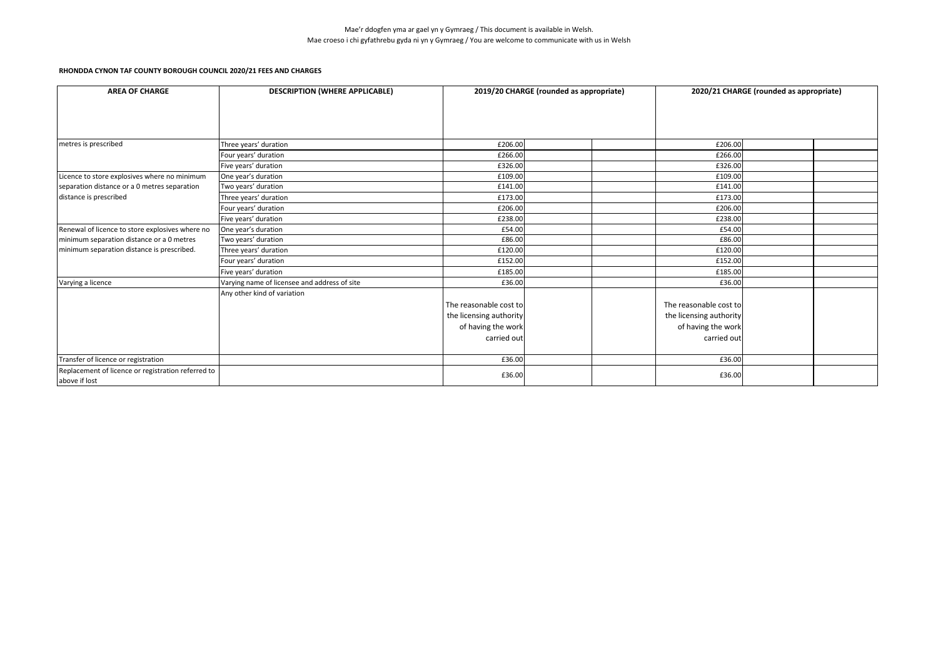| <b>AREA OF CHARGE</b>                                                                        | <b>DESCRIPTION (WHERE APPLICABLE)</b>        |                         | 2019/20 CHARGE (rounded as appropriate) |  |                         | 2020/21 CHARGE (rounded as appropriate) |  |  |
|----------------------------------------------------------------------------------------------|----------------------------------------------|-------------------------|-----------------------------------------|--|-------------------------|-----------------------------------------|--|--|
|                                                                                              |                                              |                         |                                         |  |                         |                                         |  |  |
|                                                                                              |                                              |                         |                                         |  |                         |                                         |  |  |
|                                                                                              |                                              |                         |                                         |  |                         |                                         |  |  |
| metres is prescribed                                                                         | Three years' duration                        | £206.00                 |                                         |  | £206.00                 |                                         |  |  |
|                                                                                              | Four years' duration                         | £266.00                 |                                         |  | £266.00                 |                                         |  |  |
|                                                                                              | Five years' duration                         | £326.00                 |                                         |  | £326.00                 |                                         |  |  |
| Licence to store explosives where no minimum                                                 | One year's duration                          | £109.00                 |                                         |  | £109.00                 |                                         |  |  |
| separation distance or a 0 metres separation                                                 | Two years' duration                          | £141.00                 |                                         |  | £141.00                 |                                         |  |  |
| distance is prescribed                                                                       | Three years' duration                        | £173.00                 |                                         |  | £173.00                 |                                         |  |  |
|                                                                                              | Four years' duration                         | £206.00                 |                                         |  | £206.00                 |                                         |  |  |
|                                                                                              | Five years' duration                         | £238.00                 |                                         |  | £238.00                 |                                         |  |  |
|                                                                                              |                                              |                         |                                         |  |                         |                                         |  |  |
| Renewal of licence to store explosives where no<br>minimum separation distance or a 0 metres | One year's duration<br>Two years' duration   | £54.00<br>£86.00        |                                         |  | £54.00<br>£86.00        |                                         |  |  |
|                                                                                              |                                              |                         |                                         |  |                         |                                         |  |  |
| minimum separation distance is prescribed.                                                   | Three years' duration                        | £120.00                 |                                         |  | £120.00                 |                                         |  |  |
|                                                                                              | Four years' duration                         | £152.00                 |                                         |  | £152.00                 |                                         |  |  |
|                                                                                              | Five years' duration                         | £185.00                 |                                         |  | £185.00                 |                                         |  |  |
| Varying a licence                                                                            | Varying name of licensee and address of site | £36.00                  |                                         |  | £36.00                  |                                         |  |  |
|                                                                                              | Any other kind of variation                  |                         |                                         |  |                         |                                         |  |  |
|                                                                                              |                                              | The reasonable cost to  |                                         |  | The reasonable cost to  |                                         |  |  |
|                                                                                              |                                              | the licensing authority |                                         |  | the licensing authority |                                         |  |  |
|                                                                                              |                                              | of having the work      |                                         |  | of having the work      |                                         |  |  |
|                                                                                              |                                              | carried out             |                                         |  | carried out             |                                         |  |  |
|                                                                                              |                                              |                         |                                         |  |                         |                                         |  |  |
| Transfer of licence or registration                                                          |                                              | £36.00                  |                                         |  | £36.00                  |                                         |  |  |
| Replacement of licence or registration referred to                                           |                                              | £36.00                  |                                         |  | £36.00                  |                                         |  |  |
| above if lost                                                                                |                                              |                         |                                         |  |                         |                                         |  |  |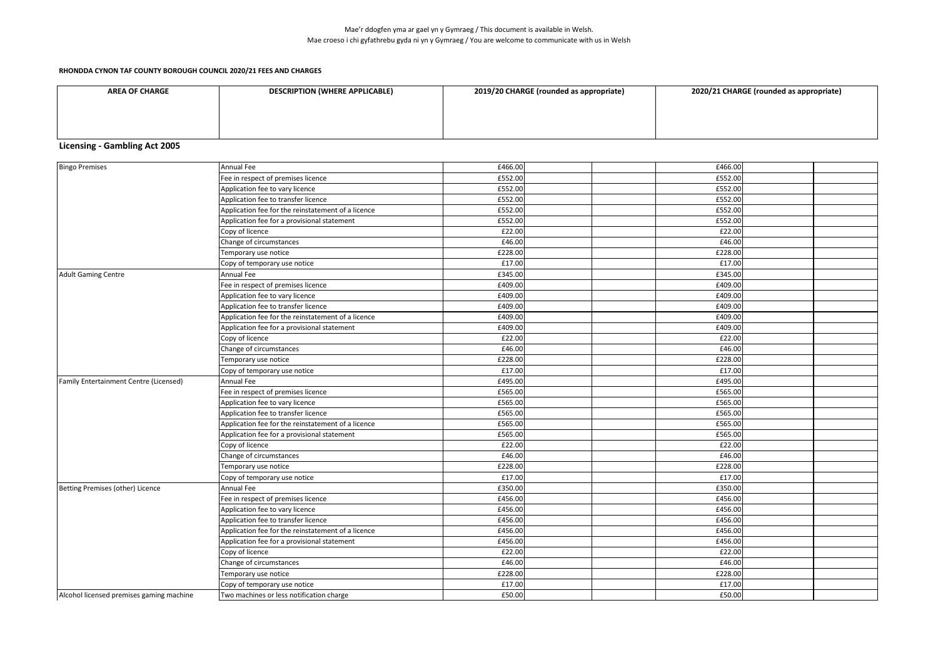#### **RHONDDA CYNON TAF COUNTY BOROUGH COUNCIL 2020/21 FEES AND CHARGES**

| <b>AREA OF CHARGE</b> | <b>DESCRIPTION (WHERE APPLICABLE)</b> | 2019/20 CHARGE (rounded as appropriate) | 2020/21 CHARGE (rounded as appropriate) |
|-----------------------|---------------------------------------|-----------------------------------------|-----------------------------------------|
|                       |                                       |                                         |                                         |
|                       |                                       |                                         |                                         |
|                       |                                       |                                         |                                         |

# **Licensing - Gambling Act 2005**

| <b>Bingo Premises</b>                    | Annual Fee                                         | £466.00 | £466.00 |  |
|------------------------------------------|----------------------------------------------------|---------|---------|--|
|                                          | Fee in respect of premises licence                 | £552.00 | £552.00 |  |
|                                          | Application fee to vary licence                    | £552.00 | £552.00 |  |
|                                          | Application fee to transfer licence                | £552.00 | £552.00 |  |
|                                          | Application fee for the reinstatement of a licence | £552.00 | £552.00 |  |
|                                          | Application fee for a provisional statement        | £552.00 | £552.00 |  |
|                                          | Copy of licence                                    | £22.00  | £22.00  |  |
|                                          | Change of circumstances                            | £46.00  | £46.00  |  |
|                                          | Temporary use notice                               | £228.00 | £228.00 |  |
|                                          | Copy of temporary use notice                       | £17.00  | £17.00  |  |
| <b>Adult Gaming Centre</b>               | Annual Fee                                         | £345.00 | £345.00 |  |
|                                          | Fee in respect of premises licence                 | £409.00 | £409.00 |  |
|                                          | Application fee to vary licence                    | £409.00 | £409.00 |  |
|                                          | Application fee to transfer licence                | £409.00 | £409.00 |  |
|                                          | Application fee for the reinstatement of a licence | £409.00 | £409.00 |  |
|                                          | Application fee for a provisional statement        | £409.00 | £409.00 |  |
|                                          | Copy of licence                                    | £22.00  | £22.00  |  |
|                                          | Change of circumstances                            | £46.00  | £46.00  |  |
|                                          | Temporary use notice                               | £228.00 | £228.00 |  |
|                                          | Copy of temporary use notice                       | £17.00  | £17.00  |  |
| Family Entertainment Centre (Licensed)   | <b>Annual Fee</b>                                  | £495.00 | £495.00 |  |
|                                          | Fee in respect of premises licence                 | £565.00 | £565.00 |  |
|                                          | Application fee to vary licence                    | £565.00 | £565.00 |  |
|                                          | Application fee to transfer licence                | £565.00 | £565.00 |  |
|                                          | Application fee for the reinstatement of a licence | £565.00 | £565.00 |  |
|                                          | Application fee for a provisional statement        | £565.00 | £565.00 |  |
|                                          | Copy of licence                                    | £22.00  | £22.00  |  |
|                                          | Change of circumstances                            | £46.00  | £46.00  |  |
|                                          | Temporary use notice                               | £228.00 | £228.00 |  |
|                                          | Copy of temporary use notice                       | £17.00  | £17.00  |  |
| Betting Premises (other) Licence         | Annual Fee                                         | £350.00 | £350.00 |  |
|                                          | Fee in respect of premises licence                 | £456.00 | £456.00 |  |
|                                          | Application fee to vary licence                    | £456.00 | £456.00 |  |
|                                          | Application fee to transfer licence                | £456.00 | £456.00 |  |
|                                          | Application fee for the reinstatement of a licence | £456.00 | £456.00 |  |
|                                          | Application fee for a provisional statement        | £456.00 | £456.00 |  |
|                                          | Copy of licence                                    | £22.00  | £22.00  |  |
|                                          | Change of circumstances                            | £46.00  | £46.00  |  |
|                                          | Temporary use notice                               | £228.00 | £228.00 |  |
|                                          | Copy of temporary use notice                       | £17.00  | £17.00  |  |
| Alcohol licensed premises gaming machine | Two machines or less notification charge           | £50.00  | £50.00  |  |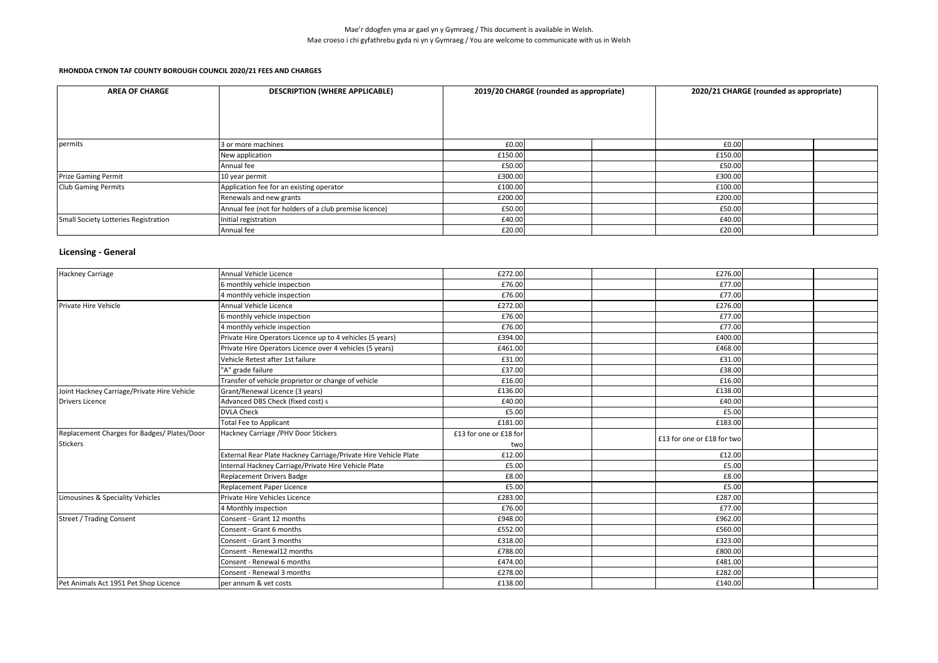| <b>AREA OF CHARGE</b>                | <b>DESCRIPTION (WHERE APPLICABLE)</b>                  | 2019/20 CHARGE (rounded as appropriate) |  | 2020/21 CHARGE (rounded as appropriate) |         |  |  |
|--------------------------------------|--------------------------------------------------------|-----------------------------------------|--|-----------------------------------------|---------|--|--|
| permits                              | 3 or more machines                                     | £0.00                                   |  |                                         | £0.00   |  |  |
|                                      | New application                                        | £150.00                                 |  |                                         | £150.00 |  |  |
|                                      | Annual fee                                             | £50.00                                  |  |                                         | £50.00  |  |  |
| <b>Prize Gaming Permit</b>           | 10 year permit                                         | £300.00                                 |  |                                         | £300.00 |  |  |
| <b>Club Gaming Permits</b>           | Application fee for an existing operator               | £100.00                                 |  |                                         | £100.00 |  |  |
|                                      | Renewals and new grants                                | £200.00                                 |  |                                         | £200.00 |  |  |
|                                      | Annual fee (not for holders of a club premise licence) | £50.00                                  |  |                                         | £50.00  |  |  |
| Small Society Lotteries Registration | Initial registration                                   | £40.00                                  |  |                                         | £40.00  |  |  |
|                                      | Annual fee                                             | £20.00                                  |  |                                         | £20.00  |  |  |

# **Licensing - General**

| <b>Hackney Carriage</b>                     | Annual Vehicle Licence                                          | £272.00                | £276.00                    |  |
|---------------------------------------------|-----------------------------------------------------------------|------------------------|----------------------------|--|
|                                             | 6 monthly vehicle inspection                                    | £76.00                 | £77.00                     |  |
|                                             | 4 monthly vehicle inspection                                    | £76.00                 | £77.00                     |  |
| Private Hire Vehicle                        | Annual Vehicle Licence                                          | £272.00                | £276.00                    |  |
|                                             | 6 monthly vehicle inspection                                    | £76.00                 | £77.00                     |  |
|                                             | 4 monthly vehicle inspection                                    | £76.00                 | £77.00                     |  |
|                                             | Private Hire Operators Licence up to 4 vehicles (5 years)       | £394.00                | £400.00                    |  |
|                                             | Private Hire Operators Licence over 4 vehicles (5 years)        | £461.00                | £468.00                    |  |
|                                             | Vehicle Retest after 1st failure                                | £31.00                 | £31.00                     |  |
|                                             | "A" grade failure                                               | £37.00                 | £38.00                     |  |
|                                             | Transfer of vehicle proprietor or change of vehicle             | £16.00                 | £16.00                     |  |
| Joint Hackney Carriage/Private Hire Vehicle | Grant/Renewal Licence (3 years)                                 | £136.00                | £138.00                    |  |
| <b>Drivers Licence</b>                      | Advanced DBS Check (fixed cost) 6                               | £40.00                 | £40.00                     |  |
|                                             | <b>DVLA Check</b>                                               | £5.00                  | £5.00                      |  |
|                                             | <b>Total Fee to Applicant</b>                                   | £181.00                | £183.00                    |  |
| Replacement Charges for Badges/ Plates/Door | Hackney Carriage /PHV Door Stickers                             | £13 for one or £18 for |                            |  |
| <b>Stickers</b>                             |                                                                 | two                    | £13 for one or £18 for two |  |
|                                             | External Rear Plate Hackney Carriage/Private Hire Vehicle Plate | £12.00                 | £12.00                     |  |
|                                             | Internal Hackney Carriage/Private Hire Vehicle Plate            | £5.00                  | £5.00                      |  |
|                                             | <b>Replacement Drivers Badge</b>                                | £8.00                  | £8.00                      |  |
|                                             | Replacement Paper Licence                                       | £5.00                  | £5.00                      |  |
| Limousines & Speciality Vehicles            | Private Hire Vehicles Licence                                   | £283.00                | £287.00                    |  |
|                                             | 4 Monthly inspection                                            | £76.00                 | £77.00                     |  |
| <b>Street / Trading Consent</b>             | Consent - Grant 12 months                                       | £948.00                | £962.00                    |  |
|                                             | Consent - Grant 6 months                                        | £552.00                | £560.00                    |  |
|                                             | Consent - Grant 3 months                                        | £318.00                | £323.00                    |  |
|                                             | Consent - Renewal12 months                                      | £788.00                | £800.00                    |  |
|                                             | Consent - Renewal 6 months                                      | £474.00                | £481.00                    |  |
|                                             | Consent - Renewal 3 months                                      | £278.00                | £282.00                    |  |
| Pet Animals Act 1951 Pet Shop Licence       | per annum & vet costs                                           | £138.00                | £140.00                    |  |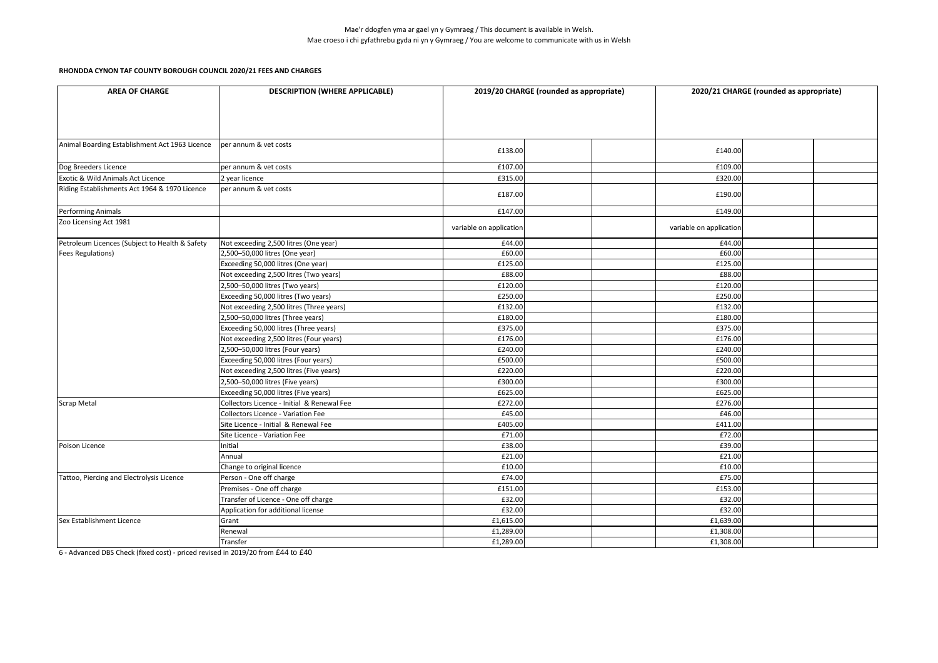| <b>AREA OF CHARGE</b>                          | <b>DESCRIPTION (WHERE APPLICABLE)</b>      | 2019/20 CHARGE (rounded as appropriate) |  | 2020/21 CHARGE (rounded as appropriate) |  |  |
|------------------------------------------------|--------------------------------------------|-----------------------------------------|--|-----------------------------------------|--|--|
|                                                |                                            |                                         |  |                                         |  |  |
|                                                |                                            |                                         |  |                                         |  |  |
|                                                |                                            |                                         |  |                                         |  |  |
|                                                |                                            |                                         |  |                                         |  |  |
| Animal Boarding Establishment Act 1963 Licence | per annum & vet costs                      | £138.00                                 |  | £140.00                                 |  |  |
| Dog Breeders Licence                           | per annum & vet costs                      | £107.00                                 |  | £109.00                                 |  |  |
| Exotic & Wild Animals Act Licence              | 2 year licence                             | £315.00                                 |  | £320.00                                 |  |  |
| Riding Establishments Act 1964 & 1970 Licence  | per annum & vet costs                      | £187.00                                 |  | £190.00                                 |  |  |
| Performing Animals                             |                                            | £147.00                                 |  | £149.00                                 |  |  |
| Zoo Licensing Act 1981                         |                                            | variable on application                 |  | variable on application                 |  |  |
| Petroleum Licences (Subject to Health & Safety | Not exceeding 2,500 litres (One year)      | £44.00                                  |  | £44.00                                  |  |  |
| <b>Fees Regulations)</b>                       | 2,500-50,000 litres (One year)             | £60.00                                  |  | £60.00                                  |  |  |
|                                                | Exceeding 50,000 litres (One year)         | £125.00                                 |  | £125.00                                 |  |  |
|                                                | Not exceeding 2,500 litres (Two years)     | £88.00                                  |  | £88.00                                  |  |  |
|                                                | 2,500-50,000 litres (Two years)            | £120.00                                 |  | £120.00                                 |  |  |
|                                                | Exceeding 50,000 litres (Two years)        | £250.00                                 |  | £250.00                                 |  |  |
|                                                | Not exceeding 2,500 litres (Three years)   | £132.00                                 |  | £132.00                                 |  |  |
|                                                | 2,500-50,000 litres (Three years)          | £180.00                                 |  | £180.00                                 |  |  |
|                                                | Exceeding 50,000 litres (Three years)      | £375.00                                 |  | £375.00                                 |  |  |
|                                                | Not exceeding 2,500 litres (Four years)    | £176.00                                 |  | £176.00                                 |  |  |
|                                                | 2,500-50,000 litres (Four years)           | £240.00                                 |  | £240.00                                 |  |  |
|                                                | Exceeding 50,000 litres (Four years)       | £500.00                                 |  | £500.00                                 |  |  |
|                                                | Not exceeding 2,500 litres (Five years)    | £220.00                                 |  | £220.00                                 |  |  |
|                                                | 2,500-50,000 litres (Five years)           | £300.00                                 |  | £300.00                                 |  |  |
|                                                | Exceeding 50,000 litres (Five years)       | £625.00                                 |  | £625.00                                 |  |  |
| <b>Scrap Metal</b>                             | Collectors Licence - Initial & Renewal Fee | £272.00                                 |  | £276.00                                 |  |  |
|                                                | Collectors Licence - Variation Fee         | £45.00                                  |  | £46.00                                  |  |  |
|                                                | Site Licence - Initial & Renewal Fee       | £405.00                                 |  | £411.00                                 |  |  |
|                                                | Site Licence - Variation Fee               | £71.00                                  |  | £72.00                                  |  |  |
| Poison Licence                                 | Initial                                    | £38.00                                  |  | £39.00                                  |  |  |
|                                                | Annual                                     | £21.00                                  |  | £21.00                                  |  |  |
|                                                | Change to original licence                 | £10.00                                  |  | £10.00                                  |  |  |
| Tattoo, Piercing and Electrolysis Licence      | Person - One off charge                    | £74.00                                  |  | £75.00                                  |  |  |
|                                                | Premises - One off charge                  | £151.00                                 |  | £153.00                                 |  |  |
|                                                | Transfer of Licence - One off charge       | £32.00                                  |  | £32.00                                  |  |  |
|                                                | Application for additional license         | £32.00                                  |  | £32.00                                  |  |  |
| Sex Establishment Licence                      | Grant                                      | £1,615.00                               |  | £1,639.00                               |  |  |
|                                                | Renewal                                    | £1,289.00                               |  | £1,308.00                               |  |  |
|                                                | Transfer                                   | £1,289.00                               |  | £1,308.00                               |  |  |

6 - Advanced DBS Check (fixed cost) - priced revised in 2019/20 from £44 to £40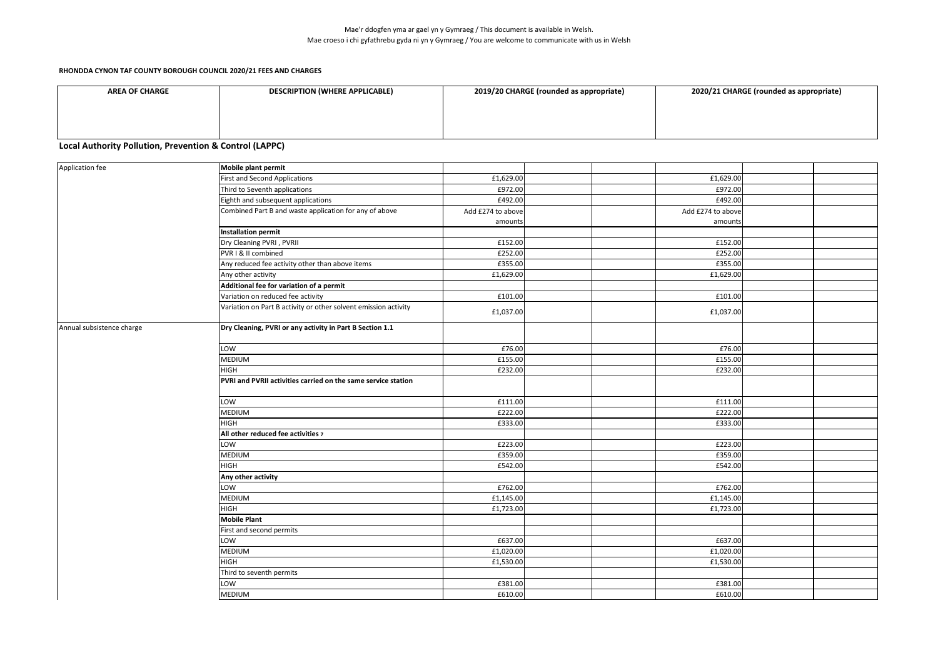#### **RHONDDA CYNON TAF COUNTY BOROUGH COUNCIL 2020/21 FEES AND CHARGES**

| <b>AREA OF CHARGE</b> | <b>DESCRIPTION (WHERE APPLICABLE)</b> | 2019/20 CHARGE (rounded as appropriate) | 2020/21 CHARGE (rounded as appropriate) |
|-----------------------|---------------------------------------|-----------------------------------------|-----------------------------------------|
|                       |                                       |                                         |                                         |
|                       |                                       |                                         |                                         |
|                       |                                       |                                         |                                         |

### **Local Authority Pollution, Prevention & Control (LAPPC)**

| Application fee<br>Mobile plant permit<br><b>First and Second Applications</b><br>£1,629.00<br>£972.00<br>Third to Seventh applications<br>£492.00<br>Eighth and subsequent applications<br>Combined Part B and waste application for any of above<br>Add £274 to above<br>Add £274 to above<br>amounts<br><b>Installation permit</b><br>Dry Cleaning PVRI, PVRII<br>£152.00<br>£252.00<br>PVR I & II combined<br>£355.00<br>Any reduced fee activity other than above items<br>£1,629.00<br>Any other activity<br>Additional fee for variation of a permit<br>£101.00<br>Variation on reduced fee activity<br>Variation on Part B activity or other solvent emission activity<br>£1,037.00<br>Dry Cleaning, PVRI or any activity in Part B Section 1.1<br>£76.00<br>LOW<br><b>MEDIUM</b><br>£155.00<br>£232.00<br><b>HIGH</b><br>PVRI and PVRII activities carried on the same service station<br>LOW<br>£111.00<br>£222.00<br><b>MEDIUM</b><br><b>HIGH</b><br>£333.00<br>All other reduced fee activities 7<br>LOW<br>£223.00<br>MEDIUM<br>£359.00<br>HIGH<br>£542.00<br>Any other activity<br>£762.00<br>LOW<br><b>MEDIUM</b><br>£1,145.00 | £1,629.00<br>£972.00<br>£492.00<br>amounts<br>£152.00<br>£252.00<br>£355.00<br>£1,629.00 |  |
|-----------------------------------------------------------------------------------------------------------------------------------------------------------------------------------------------------------------------------------------------------------------------------------------------------------------------------------------------------------------------------------------------------------------------------------------------------------------------------------------------------------------------------------------------------------------------------------------------------------------------------------------------------------------------------------------------------------------------------------------------------------------------------------------------------------------------------------------------------------------------------------------------------------------------------------------------------------------------------------------------------------------------------------------------------------------------------------------------------------------------------------------------|------------------------------------------------------------------------------------------|--|
| Annual subsistence charge                                                                                                                                                                                                                                                                                                                                                                                                                                                                                                                                                                                                                                                                                                                                                                                                                                                                                                                                                                                                                                                                                                                     |                                                                                          |  |
|                                                                                                                                                                                                                                                                                                                                                                                                                                                                                                                                                                                                                                                                                                                                                                                                                                                                                                                                                                                                                                                                                                                                               |                                                                                          |  |
|                                                                                                                                                                                                                                                                                                                                                                                                                                                                                                                                                                                                                                                                                                                                                                                                                                                                                                                                                                                                                                                                                                                                               |                                                                                          |  |
|                                                                                                                                                                                                                                                                                                                                                                                                                                                                                                                                                                                                                                                                                                                                                                                                                                                                                                                                                                                                                                                                                                                                               |                                                                                          |  |
|                                                                                                                                                                                                                                                                                                                                                                                                                                                                                                                                                                                                                                                                                                                                                                                                                                                                                                                                                                                                                                                                                                                                               |                                                                                          |  |
|                                                                                                                                                                                                                                                                                                                                                                                                                                                                                                                                                                                                                                                                                                                                                                                                                                                                                                                                                                                                                                                                                                                                               |                                                                                          |  |
|                                                                                                                                                                                                                                                                                                                                                                                                                                                                                                                                                                                                                                                                                                                                                                                                                                                                                                                                                                                                                                                                                                                                               |                                                                                          |  |
|                                                                                                                                                                                                                                                                                                                                                                                                                                                                                                                                                                                                                                                                                                                                                                                                                                                                                                                                                                                                                                                                                                                                               |                                                                                          |  |
|                                                                                                                                                                                                                                                                                                                                                                                                                                                                                                                                                                                                                                                                                                                                                                                                                                                                                                                                                                                                                                                                                                                                               |                                                                                          |  |
|                                                                                                                                                                                                                                                                                                                                                                                                                                                                                                                                                                                                                                                                                                                                                                                                                                                                                                                                                                                                                                                                                                                                               |                                                                                          |  |
|                                                                                                                                                                                                                                                                                                                                                                                                                                                                                                                                                                                                                                                                                                                                                                                                                                                                                                                                                                                                                                                                                                                                               |                                                                                          |  |
|                                                                                                                                                                                                                                                                                                                                                                                                                                                                                                                                                                                                                                                                                                                                                                                                                                                                                                                                                                                                                                                                                                                                               |                                                                                          |  |
|                                                                                                                                                                                                                                                                                                                                                                                                                                                                                                                                                                                                                                                                                                                                                                                                                                                                                                                                                                                                                                                                                                                                               | £101.00                                                                                  |  |
|                                                                                                                                                                                                                                                                                                                                                                                                                                                                                                                                                                                                                                                                                                                                                                                                                                                                                                                                                                                                                                                                                                                                               | £1,037.00                                                                                |  |
|                                                                                                                                                                                                                                                                                                                                                                                                                                                                                                                                                                                                                                                                                                                                                                                                                                                                                                                                                                                                                                                                                                                                               |                                                                                          |  |
|                                                                                                                                                                                                                                                                                                                                                                                                                                                                                                                                                                                                                                                                                                                                                                                                                                                                                                                                                                                                                                                                                                                                               | £76.00                                                                                   |  |
|                                                                                                                                                                                                                                                                                                                                                                                                                                                                                                                                                                                                                                                                                                                                                                                                                                                                                                                                                                                                                                                                                                                                               | £155.00                                                                                  |  |
|                                                                                                                                                                                                                                                                                                                                                                                                                                                                                                                                                                                                                                                                                                                                                                                                                                                                                                                                                                                                                                                                                                                                               | £232.00                                                                                  |  |
|                                                                                                                                                                                                                                                                                                                                                                                                                                                                                                                                                                                                                                                                                                                                                                                                                                                                                                                                                                                                                                                                                                                                               |                                                                                          |  |
|                                                                                                                                                                                                                                                                                                                                                                                                                                                                                                                                                                                                                                                                                                                                                                                                                                                                                                                                                                                                                                                                                                                                               | £111.00                                                                                  |  |
|                                                                                                                                                                                                                                                                                                                                                                                                                                                                                                                                                                                                                                                                                                                                                                                                                                                                                                                                                                                                                                                                                                                                               | £222.00                                                                                  |  |
|                                                                                                                                                                                                                                                                                                                                                                                                                                                                                                                                                                                                                                                                                                                                                                                                                                                                                                                                                                                                                                                                                                                                               | £333.00                                                                                  |  |
|                                                                                                                                                                                                                                                                                                                                                                                                                                                                                                                                                                                                                                                                                                                                                                                                                                                                                                                                                                                                                                                                                                                                               |                                                                                          |  |
|                                                                                                                                                                                                                                                                                                                                                                                                                                                                                                                                                                                                                                                                                                                                                                                                                                                                                                                                                                                                                                                                                                                                               | £223.00                                                                                  |  |
|                                                                                                                                                                                                                                                                                                                                                                                                                                                                                                                                                                                                                                                                                                                                                                                                                                                                                                                                                                                                                                                                                                                                               | £359.00                                                                                  |  |
|                                                                                                                                                                                                                                                                                                                                                                                                                                                                                                                                                                                                                                                                                                                                                                                                                                                                                                                                                                                                                                                                                                                                               | £542.00                                                                                  |  |
|                                                                                                                                                                                                                                                                                                                                                                                                                                                                                                                                                                                                                                                                                                                                                                                                                                                                                                                                                                                                                                                                                                                                               |                                                                                          |  |
|                                                                                                                                                                                                                                                                                                                                                                                                                                                                                                                                                                                                                                                                                                                                                                                                                                                                                                                                                                                                                                                                                                                                               | £762.00                                                                                  |  |
|                                                                                                                                                                                                                                                                                                                                                                                                                                                                                                                                                                                                                                                                                                                                                                                                                                                                                                                                                                                                                                                                                                                                               | £1,145.00                                                                                |  |
| <b>HIGH</b><br>£1,723.00                                                                                                                                                                                                                                                                                                                                                                                                                                                                                                                                                                                                                                                                                                                                                                                                                                                                                                                                                                                                                                                                                                                      | £1,723.00                                                                                |  |
| <b>Mobile Plant</b>                                                                                                                                                                                                                                                                                                                                                                                                                                                                                                                                                                                                                                                                                                                                                                                                                                                                                                                                                                                                                                                                                                                           |                                                                                          |  |
| First and second permits                                                                                                                                                                                                                                                                                                                                                                                                                                                                                                                                                                                                                                                                                                                                                                                                                                                                                                                                                                                                                                                                                                                      |                                                                                          |  |
| LOW<br>£637.00                                                                                                                                                                                                                                                                                                                                                                                                                                                                                                                                                                                                                                                                                                                                                                                                                                                                                                                                                                                                                                                                                                                                | £637.00                                                                                  |  |
| <b>MEDIUM</b><br>£1,020.00                                                                                                                                                                                                                                                                                                                                                                                                                                                                                                                                                                                                                                                                                                                                                                                                                                                                                                                                                                                                                                                                                                                    | £1,020.00                                                                                |  |
| <b>HIGH</b><br>£1,530.00                                                                                                                                                                                                                                                                                                                                                                                                                                                                                                                                                                                                                                                                                                                                                                                                                                                                                                                                                                                                                                                                                                                      | £1,530.00                                                                                |  |
| Third to seventh permits                                                                                                                                                                                                                                                                                                                                                                                                                                                                                                                                                                                                                                                                                                                                                                                                                                                                                                                                                                                                                                                                                                                      |                                                                                          |  |
| LOW<br>£381.00                                                                                                                                                                                                                                                                                                                                                                                                                                                                                                                                                                                                                                                                                                                                                                                                                                                                                                                                                                                                                                                                                                                                |                                                                                          |  |
| <b>MEDIUM</b><br>£610.00                                                                                                                                                                                                                                                                                                                                                                                                                                                                                                                                                                                                                                                                                                                                                                                                                                                                                                                                                                                                                                                                                                                      | £381.00                                                                                  |  |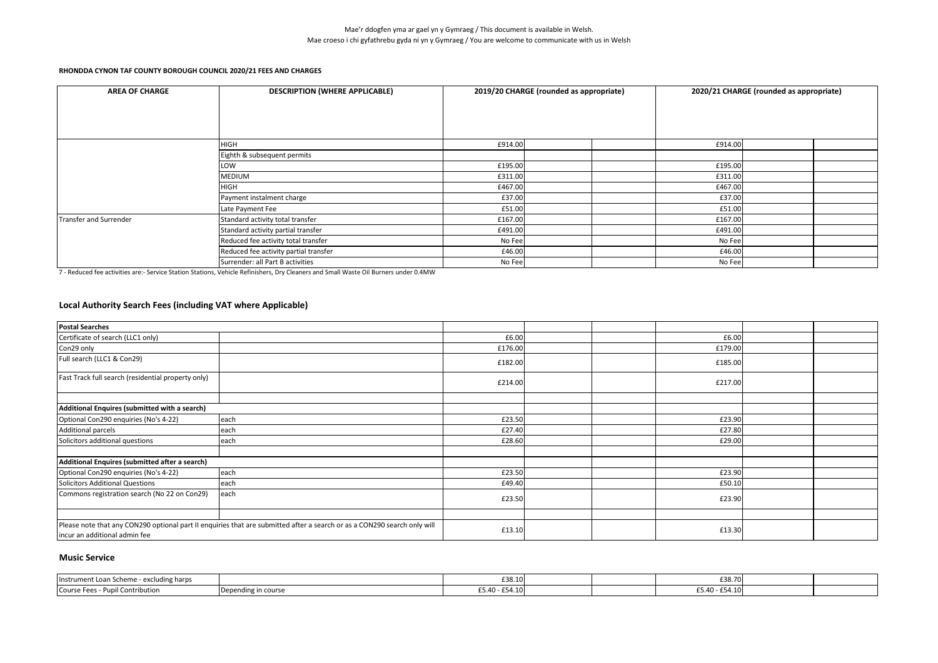| <b>AREA OF CHARGE</b>  | <b>DESCRIPTION (WHERE APPLICABLE)</b> |         | 2019/20 CHARGE (rounded as appropriate) |         | 2020/21 CHARGE (rounded as appropriate) |  |
|------------------------|---------------------------------------|---------|-----------------------------------------|---------|-----------------------------------------|--|
|                        |                                       |         |                                         |         |                                         |  |
|                        |                                       |         |                                         |         |                                         |  |
|                        |                                       |         |                                         |         |                                         |  |
|                        | <b>HIGH</b>                           | £914.00 |                                         | £914.00 |                                         |  |
|                        | Eighth & subsequent permits           |         |                                         |         |                                         |  |
|                        | LOW                                   | £195.00 |                                         | £195.00 |                                         |  |
|                        | <b>MEDIUM</b>                         | £311.00 |                                         | £311.00 |                                         |  |
|                        | <b>HIGH</b>                           | £467.00 |                                         | £467.00 |                                         |  |
|                        | Payment instalment charge             | £37.00  |                                         | £37.00  |                                         |  |
|                        | Late Payment Fee                      | £51.00  |                                         | £51.00  |                                         |  |
| Transfer and Surrender | Standard activity total transfer      | £167.00 |                                         | £167.00 |                                         |  |
|                        | Standard activity partial transfer    | £491.00 |                                         | £491.00 |                                         |  |
|                        | Reduced fee activity total transfer   | No Fee  |                                         | No Fee  |                                         |  |
|                        | Reduced fee activity partial transfer | £46.00  |                                         | £46.00  |                                         |  |
|                        | Surrender: all Part B activities      | No Fee  |                                         | No Fee  |                                         |  |

7 - Reduced fee activities are:- Service Station Stations, Vehicle Refinishers, Dry Cleaners and Small Waste Oil Burners under 0.4MW

# **Local Authority Search Fees (including VAT where Applicable)**

| <b>Postal Searches</b>                                                                                                                                    |      |         |  |         |  |
|-----------------------------------------------------------------------------------------------------------------------------------------------------------|------|---------|--|---------|--|
| Certificate of search (LLC1 only)                                                                                                                         |      | £6.00   |  | £6.00   |  |
| Con29 only                                                                                                                                                |      | £176.00 |  | £179.00 |  |
| Full search (LLC1 & Con29)                                                                                                                                |      | £182.00 |  | £185.00 |  |
| Fast Track full search (residential property only)                                                                                                        |      | £214.00 |  | £217.00 |  |
|                                                                                                                                                           |      |         |  |         |  |
| Additional Enquires (submitted with a search)                                                                                                             |      |         |  |         |  |
| Optional Con290 enquiries (No's 4-22)                                                                                                                     | each | £23.50  |  | £23.90  |  |
| Additional parcels                                                                                                                                        | each | £27.40  |  | £27.80  |  |
| Solicitors additional questions                                                                                                                           | each | £28.60  |  | £29.00  |  |
|                                                                                                                                                           |      |         |  |         |  |
| Additional Enquires (submitted after a search)                                                                                                            |      |         |  |         |  |
| Optional Con290 enquiries (No's 4-22)                                                                                                                     | each | £23.50  |  | £23.90  |  |
| <b>Solicitors Additional Questions</b>                                                                                                                    | each | £49.40  |  | £50.10  |  |
| Commons registration search (No 22 on Con29)                                                                                                              | each | £23.50  |  | £23.90  |  |
|                                                                                                                                                           |      |         |  |         |  |
| Please note that any CON290 optional part II enquiries that are submitted after a search or as a CON290 search only will<br>incur an additional admin fee |      | £13.10  |  | £13.30  |  |

### **Music Service**

| - excluding harps<br><b>Instrument Loan Scheme</b> |                   | £38.10            |  | £38.70          |  |
|----------------------------------------------------|-------------------|-------------------|--|-----------------|--|
| <b>Course Fees</b><br>Contribution                 | ending in course. | E54.10<br>£5.40 - |  | $-5.40 - 54.10$ |  |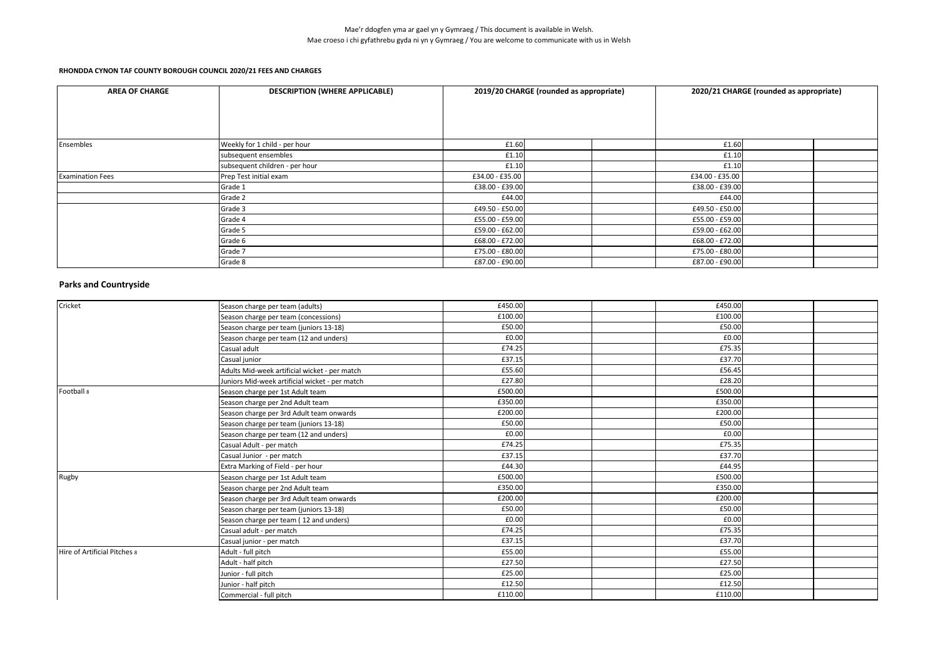| <b>AREA OF CHARGE</b>   | <b>DESCRIPTION (WHERE APPLICABLE)</b> |                 | 2019/20 CHARGE (rounded as appropriate) |                 | 2020/21 CHARGE (rounded as appropriate) |  |
|-------------------------|---------------------------------------|-----------------|-----------------------------------------|-----------------|-----------------------------------------|--|
|                         |                                       |                 |                                         |                 |                                         |  |
|                         |                                       |                 |                                         |                 |                                         |  |
|                         |                                       |                 |                                         |                 |                                         |  |
| Ensembles               | Weekly for 1 child - per hour         | £1.60           |                                         | £1.60           |                                         |  |
|                         | subsequent ensembles                  | £1.10           |                                         | £1.10           |                                         |  |
|                         | subsequent children - per hour        | £1.10           |                                         | £1.10           |                                         |  |
| <b>Examination Fees</b> | Prep Test initial exam                | £34.00 - £35.00 |                                         | £34.00 - £35.00 |                                         |  |
|                         | Grade 1                               | £38.00 - £39.00 |                                         | £38.00 - £39.00 |                                         |  |
|                         | Grade 2                               | £44.00          |                                         | £44.00          |                                         |  |
|                         | Grade 3                               | £49.50 - £50.00 |                                         | £49.50 - £50.00 |                                         |  |
|                         | Grade 4                               | £55.00 - £59.00 |                                         | £55.00 - £59.00 |                                         |  |
|                         | Grade 5                               | £59.00 - £62.00 |                                         | £59.00 - £62.00 |                                         |  |
|                         | Grade 6                               | £68.00 - £72.00 |                                         | £68.00 - £72.00 |                                         |  |
|                         | Grade 7                               | £75.00 - £80.00 |                                         | £75.00 - £80.00 |                                         |  |
|                         | Grade 8                               | £87.00 - £90.00 |                                         | £87.00 - £90.00 |                                         |  |

# **Parks and Countryside**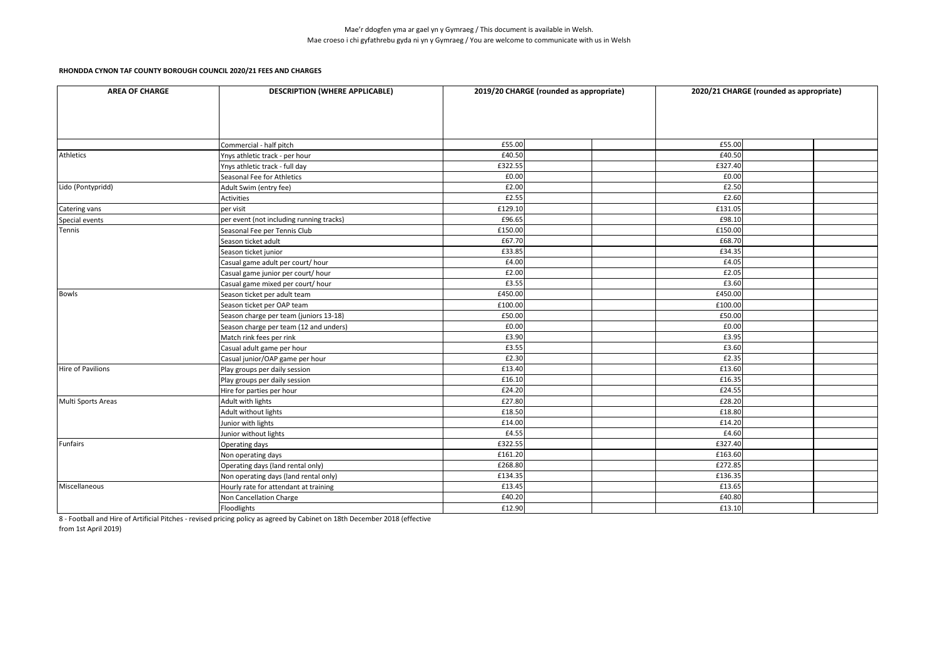| <b>AREA OF CHARGE</b> | <b>DESCRIPTION (WHERE APPLICABLE)</b>    |         | 2019/20 CHARGE (rounded as appropriate) | 2020/21 CHARGE (rounded as appropriate) |  |
|-----------------------|------------------------------------------|---------|-----------------------------------------|-----------------------------------------|--|
|                       |                                          |         |                                         |                                         |  |
|                       | Commercial - half pitch                  | £55.00  |                                         | £55.00                                  |  |
| <b>Athletics</b>      | Ynys athletic track - per hour           | £40.50  |                                         | £40.50                                  |  |
|                       | Ynys athletic track - full day           | £322.55 |                                         | £327.40                                 |  |
|                       | Seasonal Fee for Athletics               | £0.00   |                                         | £0.00                                   |  |
| Lido (Pontypridd)     | Adult Swim (entry fee)                   | £2.00   |                                         | £2.50                                   |  |
|                       | Activities                               | £2.55   |                                         | £2.60                                   |  |
| Catering vans         | per visit                                | £129.10 |                                         | £131.05                                 |  |
| Special events        | per event (not including running tracks) | £96.65  |                                         | £98.10                                  |  |
| Tennis                | Seasonal Fee per Tennis Club             | £150.00 |                                         | £150.00                                 |  |
|                       | Season ticket adult                      | £67.70  |                                         | £68.70                                  |  |
|                       | Season ticket junior                     | £33.85  |                                         | £34.35                                  |  |
|                       | Casual game adult per court/ hour        | £4.00   |                                         | £4.05                                   |  |
|                       | Casual game junior per court/ hour       | £2.00   |                                         | £2.05                                   |  |
|                       | Casual game mixed per court/ hour        | £3.55   |                                         | £3.60                                   |  |
| Bowls                 | Season ticket per adult team             | £450.00 |                                         | £450.00                                 |  |
|                       | Season ticket per OAP team               | £100.00 |                                         | £100.00                                 |  |
|                       | Season charge per team (juniors 13-18)   | £50.00  |                                         | £50.00                                  |  |
|                       | Season charge per team (12 and unders)   | £0.00   |                                         | £0.00                                   |  |
|                       | Match rink fees per rink                 | £3.90   |                                         | £3.95                                   |  |
|                       | Casual adult game per hour               | £3.55   |                                         | £3.60                                   |  |
|                       | Casual junior/OAP game per hour          | £2.30   |                                         | £2.35                                   |  |
| Hire of Pavilions     | Play groups per daily session            | £13.40  |                                         | £13.60                                  |  |
|                       | Play groups per daily session            | £16.10  |                                         | £16.35                                  |  |
|                       | Hire for parties per hour                | £24.20  |                                         | £24.55                                  |  |
| Multi Sports Areas    | Adult with lights                        | £27.80  |                                         | £28.20                                  |  |
|                       | Adult without lights                     | £18.50  |                                         | £18.80                                  |  |
|                       | Junior with lights                       | £14.00  |                                         | £14.20                                  |  |
|                       | Junior without lights                    | £4.55   |                                         | £4.60                                   |  |
| <b>Funfairs</b>       | Operating days                           | £322.55 |                                         | £327.40                                 |  |
|                       | Non operating days                       | £161.20 |                                         | £163.60                                 |  |
|                       | Operating days (land rental only)        | £268.80 |                                         | £272.85                                 |  |
|                       | Non operating days (land rental only)    | £134.35 |                                         | £136.35                                 |  |
| Miscellaneous         | Hourly rate for attendant at training    | £13.45  |                                         | £13.65                                  |  |
|                       | Non Cancellation Charge                  | £40.20  |                                         | £40.80                                  |  |
|                       | Floodlights                              | £12.90  |                                         | £13.10                                  |  |

8 - Football and Hire of Artificial Pitches - revised pricing policy as agreed by Cabinet on 18th December 2018 (effective

from 1st April 2019)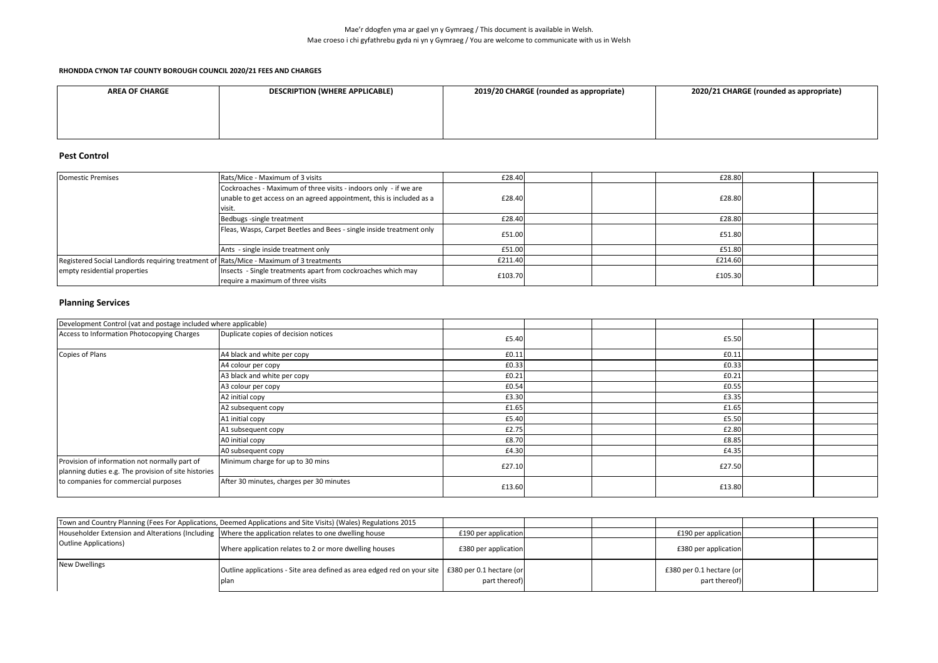#### **RHONDDA CYNON TAF COUNTY BOROUGH COUNCIL 2020/21 FEES AND CHARGES**

| <b>AREA OF CHARGE</b> | <b>DESCRIPTION (WHERE APPLICABLE)</b> | 2019/20 CHARGE (rounded as appropriate) | 2020/21 CHARGE (rounded as appropriate) |
|-----------------------|---------------------------------------|-----------------------------------------|-----------------------------------------|
|                       |                                       |                                         |                                         |
|                       |                                       |                                         |                                         |
|                       |                                       |                                         |                                         |

### **Pest Control**

| <b>Domestic Premises</b>                                                               | Rats/Mice - Maximum of 3 visits                                      | £28.40  |  | £28.80  |  |
|----------------------------------------------------------------------------------------|----------------------------------------------------------------------|---------|--|---------|--|
|                                                                                        | Cockroaches - Maximum of three visits - indoors only - if we are     |         |  |         |  |
|                                                                                        | unable to get access on an agreed appointment, this is included as a | £28.40  |  | £28.80  |  |
|                                                                                        | visit.                                                               |         |  |         |  |
|                                                                                        | Bedbugs -single treatment                                            | £28.40  |  | £28.80  |  |
|                                                                                        | Fleas, Wasps, Carpet Beetles and Bees - single inside treatment only | £51.00  |  | £51.80  |  |
|                                                                                        | Ants - single inside treatment only                                  | £51.00  |  | £51.80  |  |
| Registered Social Landlords requiring treatment of Rats/Mice - Maximum of 3 treatments |                                                                      | £211.40 |  | £214.60 |  |
| empty residential properties                                                           | Insects - Single treatments apart from cockroaches which may         | £103.70 |  | £105.30 |  |
|                                                                                        | require a maximum of three visits                                    |         |  |         |  |

# **Planning Services**

| Development Control (vat and postage included where applicable)                                                                               |                                          |        |  |        |  |
|-----------------------------------------------------------------------------------------------------------------------------------------------|------------------------------------------|--------|--|--------|--|
| Access to Information Photocopying Charges                                                                                                    | Duplicate copies of decision notices     | £5.40  |  | £5.50  |  |
| Copies of Plans                                                                                                                               | A4 black and white per copy              | £0.11  |  | £0.11  |  |
|                                                                                                                                               | A4 colour per copy                       | £0.33  |  | £0.33  |  |
|                                                                                                                                               | A3 black and white per copy              | £0.21  |  | £0.21  |  |
|                                                                                                                                               | A3 colour per copy                       | £0.54  |  | £0.55  |  |
|                                                                                                                                               | A2 initial copy                          | £3.30  |  | £3.35  |  |
|                                                                                                                                               | A2 subsequent copy                       | £1.65  |  | £1.65  |  |
|                                                                                                                                               | A1 initial copy                          | £5.40  |  | £5.50  |  |
|                                                                                                                                               | A1 subsequent copy                       | £2.75  |  | £2.80  |  |
|                                                                                                                                               | A0 initial copy                          | £8.70  |  | £8.85  |  |
|                                                                                                                                               | A0 subsequent copy                       | £4.30  |  | £4.35  |  |
| Provision of information not normally part of<br>planning duties e.g. The provision of site histories<br>to companies for commercial purposes | Minimum charge for up to 30 mins         | £27.10 |  | £27.50 |  |
|                                                                                                                                               |                                          |        |  |        |  |
|                                                                                                                                               | After 30 minutes, charges per 30 minutes | £13.60 |  | £13.80 |  |

|                               | Town and Country Planning (Fees For Applications, Deemed Applications and Site Visits) (Wales) Regulations 2015 |                      |  |                                           |  |
|-------------------------------|-----------------------------------------------------------------------------------------------------------------|----------------------|--|-------------------------------------------|--|
|                               | Householder Extension and Alterations (Including Where the application relates to one dwelling house            | £190 per application |  | £190 per application                      |  |
| <b>Outline Applications</b> ) | Where application relates to 2 or more dwelling houses                                                          | £380 per application |  | £380 per application                      |  |
| <b>New Dwellings</b>          | Outline applications - Site area defined as area edged red on your site   £380 per 0.1 hectare (or<br>plan      | part thereof)        |  | £380 per 0.1 hectare (or<br>part thereof) |  |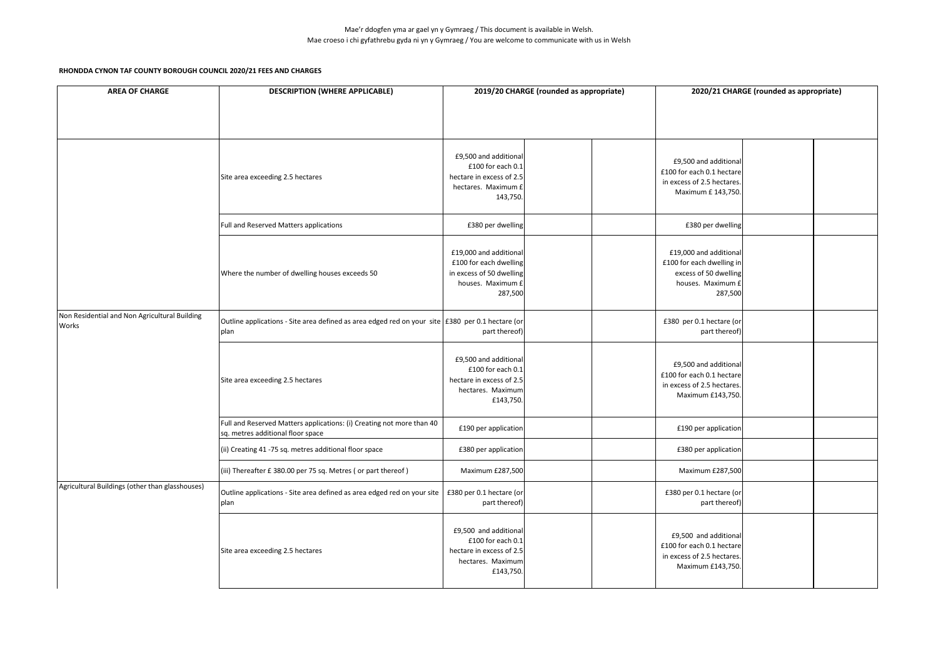| <b>AREA OF CHARGE</b>                                  | <b>DESCRIPTION (WHERE APPLICABLE)</b>                                                                      | 2019/20 CHARGE (rounded as appropriate)                                                                      |  |  | 2020/21 CHARGE (rounded as appropriate)                                                                      |  |  |
|--------------------------------------------------------|------------------------------------------------------------------------------------------------------------|--------------------------------------------------------------------------------------------------------------|--|--|--------------------------------------------------------------------------------------------------------------|--|--|
|                                                        |                                                                                                            |                                                                                                              |  |  |                                                                                                              |  |  |
|                                                        | Site area exceeding 2.5 hectares                                                                           | £9,500 and additional<br>£100 for each 0.1<br>hectare in excess of 2.5<br>hectares. Maximum £<br>143,750.    |  |  | £9,500 and additional<br>£100 for each 0.1 hectare<br>in excess of 2.5 hectares.<br>Maximum £ 143,750.       |  |  |
|                                                        | Full and Reserved Matters applications                                                                     | £380 per dwelling                                                                                            |  |  | £380 per dwelling                                                                                            |  |  |
|                                                        | Where the number of dwelling houses exceeds 50                                                             | £19,000 and additional<br>£100 for each dwelling<br>in excess of 50 dwelling<br>houses. Maximum £<br>287,500 |  |  | £19,000 and additional<br>£100 for each dwelling in<br>excess of 50 dwelling<br>houses. Maximum £<br>287,500 |  |  |
| Non Residential and Non Agricultural Building<br>Works | Outline applications - Site area defined as area edged red on your site E380 per 0.1 hectare (or<br>plan   | part thereof)                                                                                                |  |  | £380 per 0.1 hectare (or<br>part thereof)                                                                    |  |  |
|                                                        | Site area exceeding 2.5 hectares                                                                           | £9,500 and additional<br>£100 for each 0.1<br>hectare in excess of 2.5<br>hectares. Maximum<br>£143,750.     |  |  | £9,500 and additional<br>£100 for each 0.1 hectare<br>in excess of 2.5 hectares.<br>Maximum £143,750.        |  |  |
|                                                        | Full and Reserved Matters applications: (i) Creating not more than 40<br>sq. metres additional floor space | £190 per application                                                                                         |  |  | £190 per application                                                                                         |  |  |
|                                                        | (ii) Creating 41 -75 sq. metres additional floor space                                                     | £380 per application                                                                                         |  |  | £380 per application                                                                                         |  |  |
|                                                        | (iii) Thereafter £ 380.00 per 75 sq. Metres (or part thereof)                                              | Maximum £287,500                                                                                             |  |  | Maximum £287,500                                                                                             |  |  |
| Agricultural Buildings (other than glasshouses)        | Outline applications - Site area defined as area edged red on your site<br>plan                            | £380 per 0.1 hectare (or<br>part thereof)                                                                    |  |  | £380 per 0.1 hectare (or<br>part thereof)                                                                    |  |  |
|                                                        | Site area exceeding 2.5 hectares                                                                           | £9,500 and additional<br>£100 for each 0.1<br>hectare in excess of 2.5<br>hectares. Maximum<br>£143,750.     |  |  | £9,500 and additional<br>£100 for each 0.1 hectare<br>in excess of 2.5 hectares.<br>Maximum £143,750.        |  |  |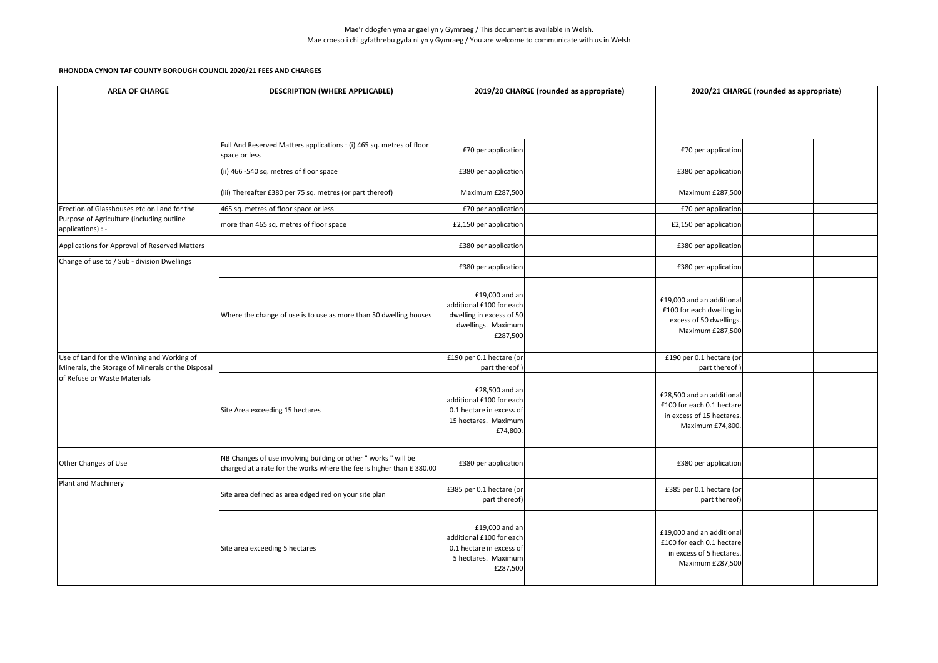| <b>AREA OF CHARGE</b>                                                                           | <b>DESCRIPTION (WHERE APPLICABLE)</b>                                                                                                   |                                                                                                            | 2019/20 CHARGE (rounded as appropriate) |                                                                                                         | 2020/21 CHARGE (rounded as appropriate) |  |
|-------------------------------------------------------------------------------------------------|-----------------------------------------------------------------------------------------------------------------------------------------|------------------------------------------------------------------------------------------------------------|-----------------------------------------|---------------------------------------------------------------------------------------------------------|-----------------------------------------|--|
|                                                                                                 |                                                                                                                                         |                                                                                                            |                                         |                                                                                                         |                                         |  |
|                                                                                                 | Full And Reserved Matters applications : (i) 465 sq. metres of floor<br>space or less                                                   | £70 per application                                                                                        |                                         | £70 per application                                                                                     |                                         |  |
|                                                                                                 | (ii) 466 -540 sq. metres of floor space                                                                                                 | £380 per application                                                                                       |                                         | £380 per application                                                                                    |                                         |  |
|                                                                                                 | (iii) Thereafter £380 per 75 sq. metres (or part thereof)                                                                               | Maximum £287,500                                                                                           |                                         | Maximum £287,500                                                                                        |                                         |  |
| Erection of Glasshouses etc on Land for the                                                     | 465 sq. metres of floor space or less                                                                                                   | £70 per application                                                                                        |                                         | £70 per application                                                                                     |                                         |  |
| Purpose of Agriculture (including outline<br>applications) : -                                  | more than 465 sq. metres of floor space                                                                                                 | £2,150 per application                                                                                     |                                         | £2,150 per application                                                                                  |                                         |  |
| Applications for Approval of Reserved Matters                                                   |                                                                                                                                         | £380 per application                                                                                       |                                         | £380 per application                                                                                    |                                         |  |
| Change of use to / Sub - division Dwellings                                                     |                                                                                                                                         | £380 per application                                                                                       |                                         | £380 per application                                                                                    |                                         |  |
|                                                                                                 | Where the change of use is to use as more than 50 dwelling houses                                                                       | £19,000 and an<br>additional £100 for each<br>dwelling in excess of 50<br>dwellings. Maximum<br>£287,500   |                                         | £19,000 and an additional<br>£100 for each dwelling in<br>excess of 50 dwellings.<br>Maximum £287,500   |                                         |  |
| Use of Land for the Winning and Working of<br>Minerals, the Storage of Minerals or the Disposal |                                                                                                                                         | £190 per 0.1 hectare (or<br>part thereof)                                                                  |                                         | £190 per 0.1 hectare (or<br>part thereof)                                                               |                                         |  |
| of Refuse or Waste Materials                                                                    | Site Area exceeding 15 hectares                                                                                                         | £28,500 and an<br>additional £100 for each<br>0.1 hectare in excess of<br>15 hectares. Maximum<br>£74,800. |                                         | £28.500 and an additional<br>£100 for each 0.1 hectare<br>in excess of 15 hectares.<br>Maximum £74,800. |                                         |  |
| Other Changes of Use                                                                            | NB Changes of use involving building or other " works " will be<br>charged at a rate for the works where the fee is higher than £380.00 | £380 per application                                                                                       |                                         | £380 per application                                                                                    |                                         |  |
| Plant and Machinery                                                                             | Site area defined as area edged red on your site plan                                                                                   | £385 per 0.1 hectare (or<br>part thereof)                                                                  |                                         | £385 per 0.1 hectare (or<br>part thereof)                                                               |                                         |  |
|                                                                                                 | Site area exceeding 5 hectares                                                                                                          | £19,000 and an<br>additional £100 for each<br>0.1 hectare in excess of<br>5 hectares. Maximum<br>£287,500  |                                         | £19,000 and an additional<br>£100 for each 0.1 hectare<br>in excess of 5 hectares.<br>Maximum £287,500  |                                         |  |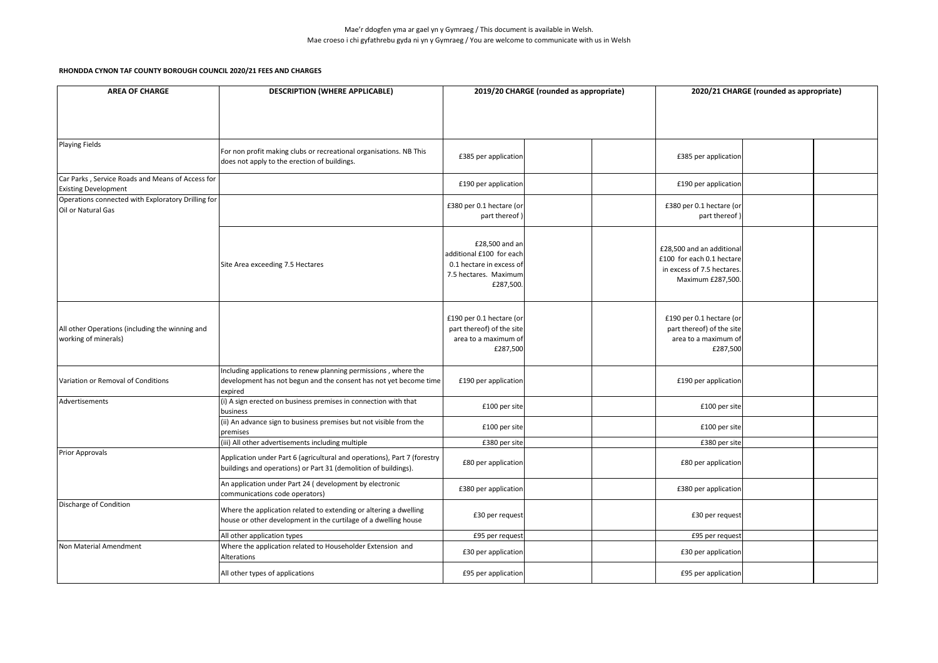| <b>AREA OF CHARGE</b>                                                           | <b>DESCRIPTION (WHERE APPLICABLE)</b>                                                                                                           | 2019/20 CHARGE (rounded as appropriate)                                                                      |  | 2020/21 CHARGE (rounded as appropriate)                                                                   |  |  |
|---------------------------------------------------------------------------------|-------------------------------------------------------------------------------------------------------------------------------------------------|--------------------------------------------------------------------------------------------------------------|--|-----------------------------------------------------------------------------------------------------------|--|--|
|                                                                                 |                                                                                                                                                 |                                                                                                              |  |                                                                                                           |  |  |
| <b>Playing Fields</b>                                                           | For non profit making clubs or recreational organisations. NB This<br>does not apply to the erection of buildings.                              | £385 per application                                                                                         |  | £385 per application                                                                                      |  |  |
| Car Parks, Service Roads and Means of Access for<br><b>Existing Development</b> |                                                                                                                                                 | £190 per application                                                                                         |  | £190 per application                                                                                      |  |  |
| Operations connected with Exploratory Drilling for<br>Oil or Natural Gas        |                                                                                                                                                 | £380 per 0.1 hectare (or<br>part thereof                                                                     |  | £380 per 0.1 hectare (or<br>part thereof)                                                                 |  |  |
|                                                                                 | Site Area exceeding 7.5 Hectares                                                                                                                | £28,500 and an<br>additional £100 for each<br>0.1 hectare in excess of<br>7.5 hectares. Maximum<br>£287,500. |  | £28,500 and an additional<br>£100 for each 0.1 hectare<br>in excess of 7.5 hectares.<br>Maximum £287,500. |  |  |
| All other Operations (including the winning and<br>working of minerals)         |                                                                                                                                                 | £190 per 0.1 hectare (or<br>part thereof) of the site<br>area to a maximum of<br>£287,500                    |  | £190 per 0.1 hectare (or<br>part thereof) of the site<br>area to a maximum of<br>£287,500                 |  |  |
| Variation or Removal of Conditions                                              | Including applications to renew planning permissions, where the<br>development has not begun and the consent has not yet become time<br>expired | £190 per application                                                                                         |  | £190 per application                                                                                      |  |  |
| Advertisements                                                                  | (i) A sign erected on business premises in connection with that<br>business                                                                     | £100 per site                                                                                                |  | £100 per site                                                                                             |  |  |
|                                                                                 | (ii) An advance sign to business premises but not visible from the<br>premises                                                                  | £100 per site                                                                                                |  | £100 per site                                                                                             |  |  |
|                                                                                 | (iii) All other advertisements including multiple                                                                                               | £380 per site                                                                                                |  | £380 per site                                                                                             |  |  |
| <b>Prior Approvals</b>                                                          | Application under Part 6 (agricultural and operations), Part 7 (forestry<br>buildings and operations) or Part 31 (demolition of buildings).     | £80 per application                                                                                          |  | £80 per application                                                                                       |  |  |
|                                                                                 | An application under Part 24 (development by electronic<br>communications code operators)                                                       | £380 per application                                                                                         |  | £380 per application                                                                                      |  |  |
| Discharge of Condition                                                          | Where the application related to extending or altering a dwelling<br>house or other development in the curtilage of a dwelling house            | £30 per request                                                                                              |  | £30 per request                                                                                           |  |  |
|                                                                                 | All other application types                                                                                                                     | £95 per request                                                                                              |  | £95 per request                                                                                           |  |  |
| Non Material Amendment                                                          | Where the application related to Householder Extension and<br>Alterations                                                                       | £30 per application                                                                                          |  | £30 per application                                                                                       |  |  |
|                                                                                 | All other types of applications                                                                                                                 | £95 per application                                                                                          |  | £95 per application                                                                                       |  |  |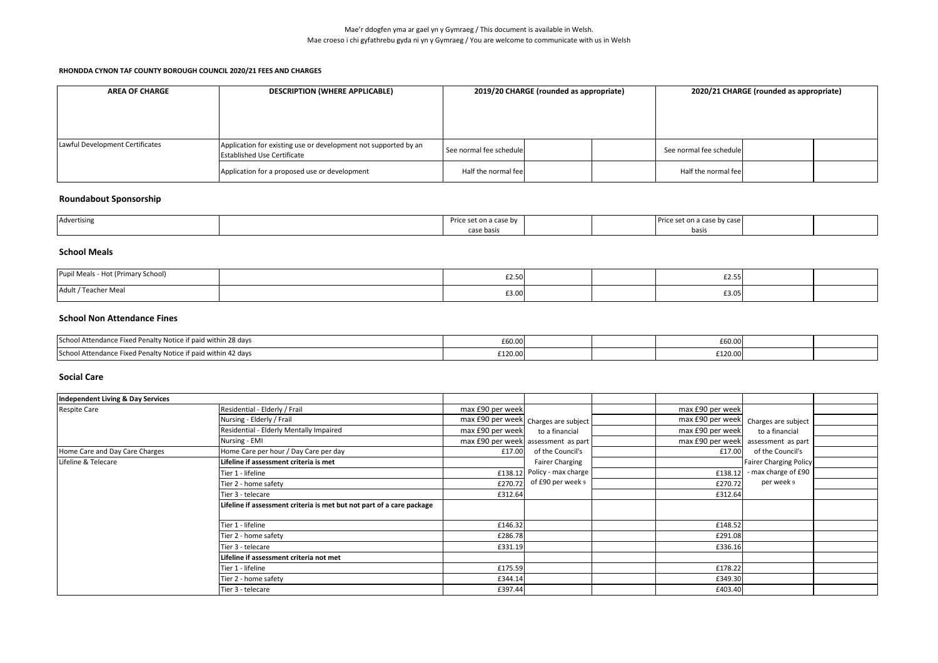| <b>AREA OF CHARGE</b>           | <b>DESCRIPTION (WHERE APPLICABLE)</b>                                                                 | 2019/20 CHARGE (rounded as appropriate) |  |  | 2020/21 CHARGE (rounded as appropriate) |  |  |
|---------------------------------|-------------------------------------------------------------------------------------------------------|-----------------------------------------|--|--|-----------------------------------------|--|--|
|                                 |                                                                                                       |                                         |  |  |                                         |  |  |
| Lawful Development Certificates | Application for existing use or development not supported by an<br><b>Established Use Certificate</b> | See normal fee schedule                 |  |  | See normal fee schedule                 |  |  |
|                                 | Application for a proposed use or development                                                         | Half the normal fee                     |  |  | Half the normal fee                     |  |  |

## **Roundabout Sponsorship**

| Advertising | ase nv |  | by case |  |
|-------------|--------|--|---------|--|
|             | .      |  | basis   |  |

## **School Meals**

| upil Meals<br>s - Hot (Primary School) | £2.50 |  | £2.55 |  |
|----------------------------------------|-------|--|-------|--|
| */Teacher Meal<br>Adult                | £3.00 |  | £3.05 |  |

### **School Non Attendance Fines**

| School Attendance Fixed Penalty Notice if paid within 28 days | £60.00  |  | £60.00  |  |
|---------------------------------------------------------------|---------|--|---------|--|
| School Attendance Fixed Penalty Notice if paid within 42 days | £120.00 |  | £120.00 |  |

## **Social Care**

| Independent Living & Day Services |                                                                       |                  |                                      |                  |                                      |  |
|-----------------------------------|-----------------------------------------------------------------------|------------------|--------------------------------------|------------------|--------------------------------------|--|
| <b>Respite Care</b>               | Residential - Elderly / Frail                                         | max £90 per week |                                      | max £90 per week |                                      |  |
|                                   | Nursing - Elderly / Frail                                             |                  | max £90 per week Charges are subject |                  | max £90 per week Charges are subject |  |
|                                   | Residential - Elderly Mentally Impaired                               | max £90 per week | to a financial                       | max £90 per week | to a financial                       |  |
|                                   | Nursing - EMI                                                         |                  | max £90 per week assessment as part  |                  | max £90 per week assessment as part  |  |
| Home Care and Day Care Charges    | Home Care per hour / Day Care per day                                 | £17.00           | of the Council's                     | £17.00           | of the Council's                     |  |
| Lifeline & Telecare               | Lifeline if assessment criteria is met                                |                  | <b>Fairer Charging</b>               |                  | <b>Fairer Charging Policy</b>        |  |
|                                   | Tier 1 - lifeline                                                     | £138.12          | Policy - max charge                  | £138.12          | - max charge of £90                  |  |
|                                   | Tier 2 - home safety                                                  | £270.72          | of £90 per week 9                    | £270.72          | per week 9                           |  |
|                                   | Tier 3 - telecare                                                     | £312.64          |                                      | £312.64          |                                      |  |
|                                   | Lifeline if assessment criteria is met but not part of a care package |                  |                                      |                  |                                      |  |
|                                   | Tier 1 - lifeline                                                     | £146.32          |                                      | £148.52          |                                      |  |
|                                   | Tier 2 - home safety                                                  | £286.78          |                                      | £291.08          |                                      |  |
|                                   | Tier 3 - telecare                                                     | £331.19          |                                      | £336.16          |                                      |  |
|                                   | Lifeline if assessment criteria not met                               |                  |                                      |                  |                                      |  |
|                                   | Tier 1 - lifeline                                                     | £175.59          |                                      | £178.22          |                                      |  |
|                                   | Tier 2 - home safety                                                  | £344.14          |                                      | £349.30          |                                      |  |
|                                   | Tier 3 - telecare                                                     | £397.44          |                                      | £403.40          |                                      |  |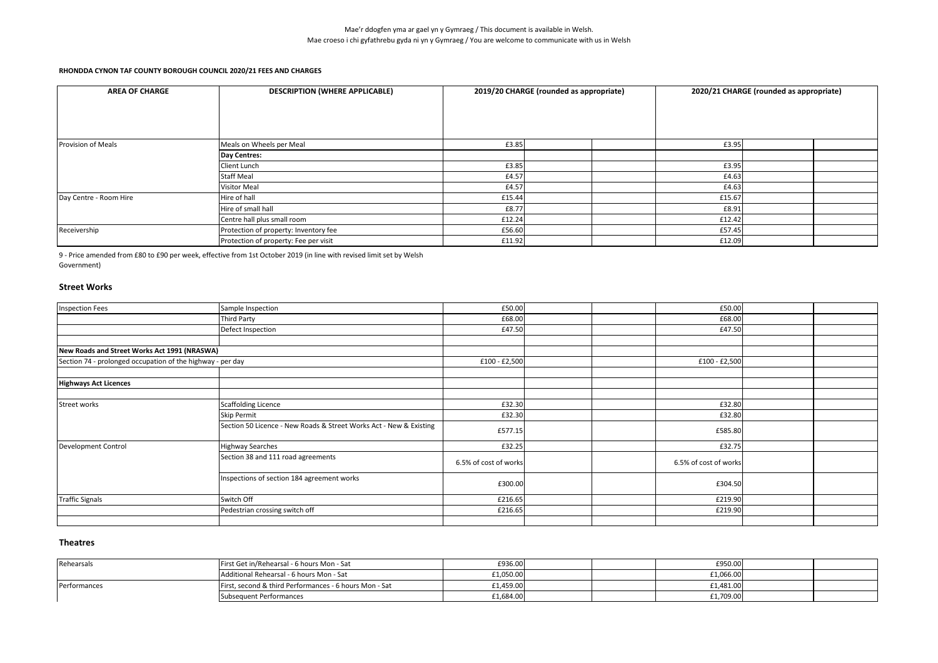| <b>AREA OF CHARGE</b>  | <b>DESCRIPTION (WHERE APPLICABLE)</b> |        | 2019/20 CHARGE (rounded as appropriate) |        | 2020/21 CHARGE (rounded as appropriate) |  |
|------------------------|---------------------------------------|--------|-----------------------------------------|--------|-----------------------------------------|--|
|                        |                                       |        |                                         |        |                                         |  |
|                        |                                       |        |                                         |        |                                         |  |
|                        |                                       |        |                                         |        |                                         |  |
| Provision of Meals     | Meals on Wheels per Meal              | £3.85  |                                         | £3.95  |                                         |  |
|                        | Day Centres:                          |        |                                         |        |                                         |  |
|                        | Client Lunch                          | £3.85  |                                         | £3.95  |                                         |  |
|                        | <b>Staff Meal</b>                     | £4.57  |                                         | £4.63  |                                         |  |
|                        | <b>Visitor Meal</b>                   | £4.57  |                                         | £4.63  |                                         |  |
| Day Centre - Room Hire | Hire of hall                          | £15.44 |                                         | £15.67 |                                         |  |
|                        | Hire of small hall                    | £8.77  |                                         | £8.91  |                                         |  |
|                        | Centre hall plus small room           | £12.24 |                                         | £12.42 |                                         |  |
| Receivership           | Protection of property: Inventory fee | £56.60 |                                         | £57.45 |                                         |  |
|                        | Protection of property: Fee per visit | £11.92 |                                         | £12.09 |                                         |  |

9 - Price amended from £80 to £90 per week, effective from 1st October 2019 (in line with revised limit set by Welsh

Government)

## **Street Works**

| <b>Inspection Fees</b>                                     | Sample Inspection                                                  | £50.00                |  | £50.00                |  |
|------------------------------------------------------------|--------------------------------------------------------------------|-----------------------|--|-----------------------|--|
|                                                            | <b>Third Party</b>                                                 | £68.00                |  | £68.00                |  |
|                                                            | Defect Inspection                                                  | £47.50                |  | £47.50                |  |
|                                                            |                                                                    |                       |  |                       |  |
| New Roads and Street Works Act 1991 (NRASWA)               |                                                                    |                       |  |                       |  |
| Section 74 - prolonged occupation of the highway - per day |                                                                    | £100 - £2,500         |  | £100 - £2,500         |  |
|                                                            |                                                                    |                       |  |                       |  |
| <b>Highways Act Licences</b>                               |                                                                    |                       |  |                       |  |
|                                                            |                                                                    |                       |  |                       |  |
| Street works                                               | <b>Scaffolding Licence</b>                                         | £32.30                |  | £32.80                |  |
|                                                            | Skip Permit                                                        | £32.30                |  | £32.80                |  |
|                                                            | Section 50 Licence - New Roads & Street Works Act - New & Existing | £577.15               |  | £585.80               |  |
| Development Control                                        | <b>Highway Searches</b>                                            | £32.25                |  | £32.75                |  |
|                                                            | Section 38 and 111 road agreements                                 | 6.5% of cost of works |  | 6.5% of cost of works |  |
|                                                            | Inspections of section 184 agreement works                         | £300.00               |  | £304.50               |  |
| <b>Traffic Signals</b>                                     | Switch Off                                                         | £216.65               |  | £219.90               |  |
|                                                            | Pedestrian crossing switch off                                     | £216.65               |  | £219.90               |  |
|                                                            |                                                                    |                       |  |                       |  |

## **Theatres**

| Rehearsals   | First Get in/Rehearsal - 6 hours Mon - Sat             | £936.00   |  | £950.00   |  |
|--------------|--------------------------------------------------------|-----------|--|-----------|--|
|              | Additional Rehearsal - 6 hours Mon - Sat               | £1,050.00 |  | £1,066.00 |  |
| Performances | First, second & third Performances - 6 hours Mon - Sat | £1,459.00 |  | £1,481.00 |  |
|              | <b>Subsequent Performances</b>                         | £1,684.00 |  | £1,709.00 |  |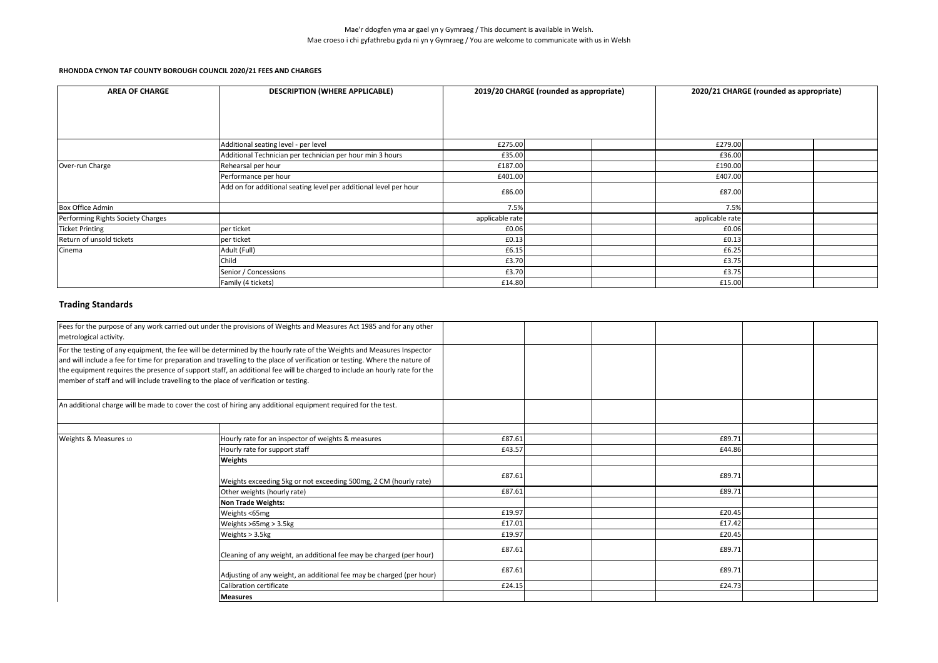| <b>AREA OF CHARGE</b>             | <b>DESCRIPTION (WHERE APPLICABLE)</b>                             |                 | 2019/20 CHARGE (rounded as appropriate) |                 | 2020/21 CHARGE (rounded as appropriate) |  |
|-----------------------------------|-------------------------------------------------------------------|-----------------|-----------------------------------------|-----------------|-----------------------------------------|--|
|                                   |                                                                   |                 |                                         |                 |                                         |  |
|                                   |                                                                   |                 |                                         |                 |                                         |  |
|                                   |                                                                   |                 |                                         |                 |                                         |  |
|                                   | Additional seating level - per level                              | £275.00         |                                         | £279.00         |                                         |  |
|                                   | Additional Technician per technician per hour min 3 hours         | £35.00          |                                         | £36.00          |                                         |  |
| Over-run Charge                   | Rehearsal per hour                                                | £187.00         |                                         | £190.00         |                                         |  |
|                                   | Performance per hour                                              | £401.00         |                                         | £407.00         |                                         |  |
|                                   | Add on for additional seating level per additional level per hour | £86.00          |                                         | £87.00          |                                         |  |
| <b>Box Office Admin</b>           |                                                                   | 7.5%            |                                         | 7.5%            |                                         |  |
| Performing Rights Society Charges |                                                                   | applicable rate |                                         | applicable rate |                                         |  |
| <b>Ticket Printing</b>            | per ticket                                                        | £0.06           |                                         | £0.06           |                                         |  |
| Return of unsold tickets          | per ticket                                                        | £0.13           |                                         | £0.13           |                                         |  |
| Cinema                            | Adult (Full)                                                      | £6.15           |                                         | £6.25           |                                         |  |
|                                   | Child                                                             | £3.70           |                                         | £3.75           |                                         |  |
|                                   | Senior / Concessions                                              | £3.70           |                                         | £3.75           |                                         |  |
|                                   | Family (4 tickets)                                                | £14.80          |                                         | £15.00          |                                         |  |

## **Trading Standards**

| metrological activity.                                               | Fees for the purpose of any work carried out under the provisions of Weights and Measures Act 1985 and for any other                                                                                                                                                                                                                                                                                                                                                      |        |        |  |
|----------------------------------------------------------------------|---------------------------------------------------------------------------------------------------------------------------------------------------------------------------------------------------------------------------------------------------------------------------------------------------------------------------------------------------------------------------------------------------------------------------------------------------------------------------|--------|--------|--|
|                                                                      | For the testing of any equipment, the fee will be determined by the hourly rate of the Weights and Measures Inspector<br>and will include a fee for time for preparation and travelling to the place of verification or testing. Where the nature of<br>the equipment requires the presence of support staff, an additional fee will be charged to include an hourly rate for the<br>member of staff and will include travelling to the place of verification or testing. |        |        |  |
|                                                                      | An additional charge will be made to cover the cost of hiring any additional equipment required for the test.                                                                                                                                                                                                                                                                                                                                                             |        |        |  |
| Weights & Measures 10                                                | Hourly rate for an inspector of weights & measures                                                                                                                                                                                                                                                                                                                                                                                                                        | £87.61 | £89.71 |  |
|                                                                      | Hourly rate for support staff                                                                                                                                                                                                                                                                                                                                                                                                                                             | £43.57 | £44.86 |  |
|                                                                      | Weights                                                                                                                                                                                                                                                                                                                                                                                                                                                                   |        |        |  |
|                                                                      | Weights exceeding 5kg or not exceeding 500mg, 2 CM (hourly rate)                                                                                                                                                                                                                                                                                                                                                                                                          | £87.61 | £89.71 |  |
|                                                                      | Other weights (hourly rate)                                                                                                                                                                                                                                                                                                                                                                                                                                               | £87.61 | £89.71 |  |
|                                                                      | <b>Non Trade Weights:</b>                                                                                                                                                                                                                                                                                                                                                                                                                                                 |        |        |  |
|                                                                      | Weights <65mg                                                                                                                                                                                                                                                                                                                                                                                                                                                             | £19.97 | £20.45 |  |
|                                                                      | Weights >65mg > 3.5kg                                                                                                                                                                                                                                                                                                                                                                                                                                                     | £17.01 | £17.42 |  |
|                                                                      | Weights > 3.5kg                                                                                                                                                                                                                                                                                                                                                                                                                                                           | £19.97 | £20.45 |  |
|                                                                      | Cleaning of any weight, an additional fee may be charged (per hour)                                                                                                                                                                                                                                                                                                                                                                                                       | £87.61 | £89.71 |  |
| Adjusting of any weight, an additional fee may be charged (per hour) |                                                                                                                                                                                                                                                                                                                                                                                                                                                                           | £87.61 | £89.71 |  |
|                                                                      | Calibration certificate                                                                                                                                                                                                                                                                                                                                                                                                                                                   | £24.15 | £24.73 |  |
|                                                                      | <b>Measures</b>                                                                                                                                                                                                                                                                                                                                                                                                                                                           |        |        |  |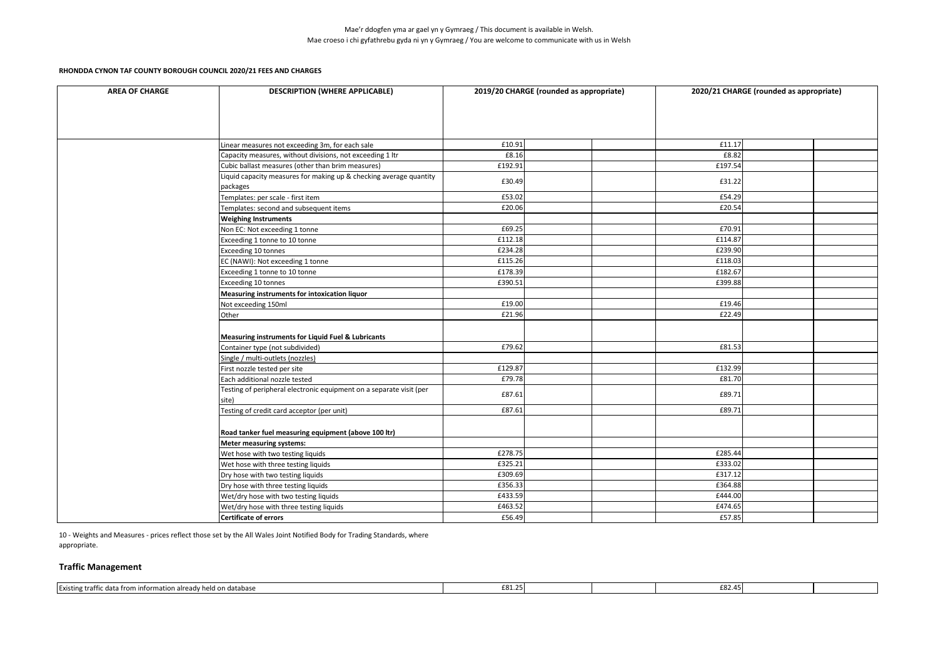#### **RHONDDA CYNON TAF COUNTY BOROUGH COUNCIL 2020/21 FEES AND CHARGES**

| <b>AREA OF CHARGE</b> | <b>DESCRIPTION (WHERE APPLICABLE)</b>                                          | 2019/20 CHARGE (rounded as appropriate) |  | 2020/21 CHARGE (rounded as appropriate) |  |  |
|-----------------------|--------------------------------------------------------------------------------|-----------------------------------------|--|-----------------------------------------|--|--|
|                       |                                                                                |                                         |  |                                         |  |  |
|                       | Linear measures not exceeding 3m, for each sale                                | £10.91                                  |  | £11.17                                  |  |  |
|                       | Capacity measures, without divisions, not exceeding 1 ltr                      | £8.16                                   |  | £8.82                                   |  |  |
|                       | Cubic ballast measures (other than brim measures)                              | £192.91                                 |  | £197.54                                 |  |  |
|                       | Liquid capacity measures for making up & checking average quantity<br>packages | £30.49                                  |  | £31.22                                  |  |  |
|                       | Templates: per scale - first item                                              | £53.02                                  |  | £54.29                                  |  |  |
|                       | Templates: second and subsequent items                                         | £20.06                                  |  | £20.54                                  |  |  |
|                       | <b>Weighing Instruments</b>                                                    |                                         |  |                                         |  |  |
|                       | Non EC: Not exceeding 1 tonne                                                  | £69.25                                  |  | £70.91                                  |  |  |
|                       | Exceeding 1 tonne to 10 tonne                                                  | £112.18                                 |  | £114.87                                 |  |  |
|                       | Exceeding 10 tonnes                                                            | £234.28                                 |  | £239.90                                 |  |  |
|                       | EC (NAWI): Not exceeding 1 tonne                                               | £115.26                                 |  | £118.03                                 |  |  |
|                       | Exceeding 1 tonne to 10 tonne                                                  | £178.39                                 |  | £182.67                                 |  |  |
|                       | Exceeding 10 tonnes                                                            | £390.51                                 |  | £399.88                                 |  |  |
|                       | Measuring instruments for intoxication liquor                                  |                                         |  |                                         |  |  |
|                       | Not exceeding 150ml                                                            | £19.00                                  |  | £19.46                                  |  |  |
|                       | Other                                                                          | £21.96                                  |  | £22.49                                  |  |  |
|                       | Measuring instruments for Liquid Fuel & Lubricants                             |                                         |  |                                         |  |  |
|                       | Container type (not subdivided)                                                | £79.62                                  |  | £81.53                                  |  |  |
|                       | Single / multi-outlets (nozzles)                                               |                                         |  |                                         |  |  |
|                       | First nozzle tested per site                                                   | £129.87                                 |  | £132.99                                 |  |  |
|                       | Each additional nozzle tested                                                  | £79.78                                  |  | £81.70                                  |  |  |
|                       | Testing of peripheral electronic equipment on a separate visit (per<br>site)   | £87.61                                  |  | £89.71                                  |  |  |
|                       | Testing of credit card acceptor (per unit)                                     | £87.61                                  |  | £89.71                                  |  |  |
|                       | Road tanker fuel measuring equipment (above 100 ltr)                           |                                         |  |                                         |  |  |
|                       | Meter measuring systems:                                                       |                                         |  |                                         |  |  |
|                       | Wet hose with two testing liquids                                              | £278.75                                 |  | £285.44                                 |  |  |
|                       | Wet hose with three testing liquids                                            | £325.21                                 |  | £333.02                                 |  |  |
|                       | Dry hose with two testing liquids                                              | £309.69                                 |  | £317.12                                 |  |  |
|                       | Dry hose with three testing liquids                                            | £356.33                                 |  | £364.88                                 |  |  |
|                       | Wet/dry hose with two testing liquids                                          | £433.59                                 |  | £444.00                                 |  |  |
|                       | Wet/dry hose with three testing liquids                                        | £463.52                                 |  | £474.65                                 |  |  |
|                       | <b>Certificate of errors</b>                                                   | £56.49                                  |  | £57.85                                  |  |  |

10 - Weights and Measures - prices reflect those set by the All Wales Joint Notified Body for Trading Standards, where appropriate.

## **Traffic Management**

| . <b>.</b><br>. database<br>. <b></b><br>Existin<br>' trattı<br>1 I O I<br>. |  |  |  |
|------------------------------------------------------------------------------|--|--|--|